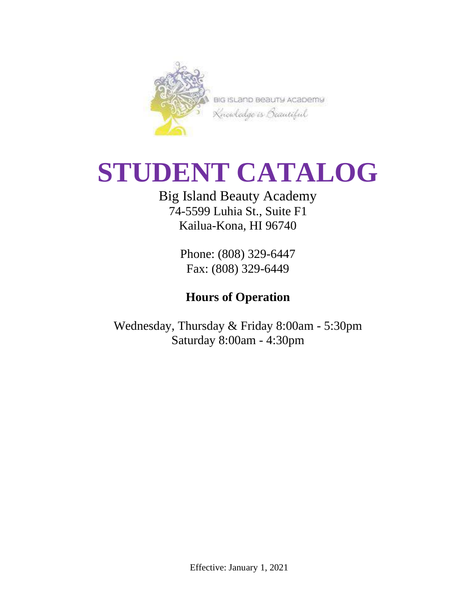

BIG ISLAND BEAUTY ACADEMY Knowledge is Beautiful

# **STUDENT CATALOG**

## Big Island Beauty Academy 74-5599 Luhia St., Suite F1 Kailua-Kona, HI 96740

Phone: (808) 329-6447 Fax: (808) 329-6449

## **Hours of Operation**

Wednesday, Thursday & Friday 8:00am - 5:30pm Saturday 8:00am - 4:30pm

Effective: January 1, 2021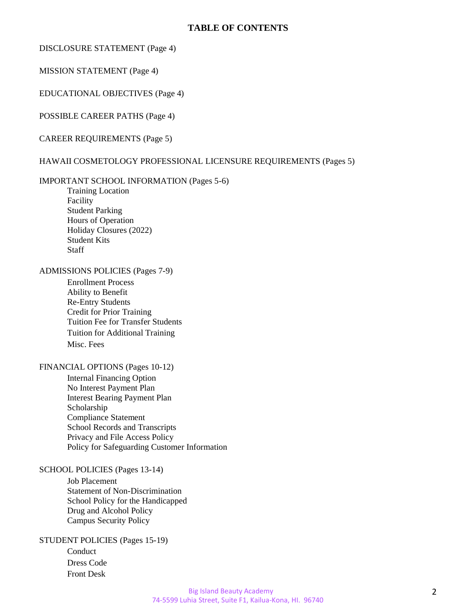#### **TABLE OF CONTENTS**

#### DISCLOSURE STATEMENT (Page 4)

MISSION STATEMENT (Page 4)

EDUCATIONAL OBJECTIVES (Page 4)

POSSIBLE CAREER PATHS (Page 4)

CAREER REQUIREMENTS (Page 5)

#### HAWAII COSMETOLOGY PROFESSIONAL LICENSURE REQUIREMENTS (Pages 5)

#### IMPORTANT SCHOOL INFORMATION (Pages 5-6)

Training Location Facility Student Parking Hours of Operation Holiday Closures (2022) Student Kits Staff

#### ADMISSIONS POLICIES (Pages 7-9)

Enrollment Process Ability to Benefit Re-Entry Students Credit for Prior Training Tuition Fee for Transfer Students Tuition for Additional Training Misc. Fees

#### FINANCIAL OPTIONS (Pages 10-12)

Internal Financing Option No Interest Payment Plan Interest Bearing Payment Plan Scholarship Compliance Statement School Records and Transcripts Privacy and File Access Policy Policy for Safeguarding Customer Information

#### SCHOOL POLICIES (Pages 13-14)

Job Placement Statement of Non-Discrimination School Policy for the Handicapped Drug and Alcohol Policy Campus Security Policy

#### STUDENT POLICIES (Pages 15-19)

Conduct Dress Code Front Desk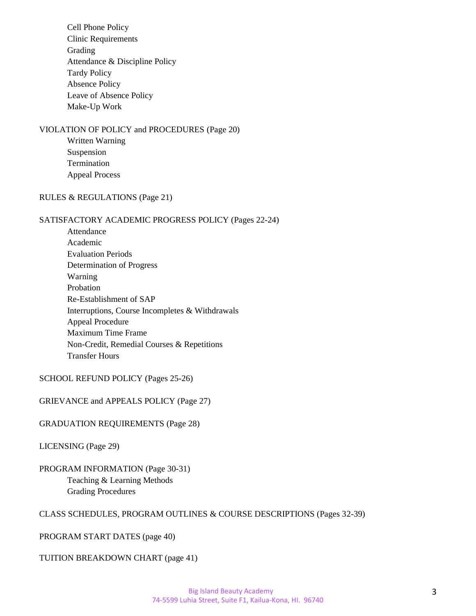Cell Phone Policy Clinic Requirements Grading Attendance & Discipline Policy Tardy Policy Absence Policy Leave of Absence Policy Make-Up Work

#### VIOLATION OF POLICY and PROCEDURES (Page 20)

Written Warning Suspension Termination Appeal Process

#### RULES & REGULATIONS (Page 21)

#### SATISFACTORY ACADEMIC PROGRESS POLICY (Pages 22-24)

Attendance Academic Evaluation Periods Determination of Progress Warning Probation Re-Establishment of SAP Interruptions, Course Incompletes & Withdrawals Appeal Procedure Maximum Time Frame Non-Credit, Remedial Courses & Repetitions Transfer Hours

SCHOOL REFUND POLICY (Pages 25-26)

GRIEVANCE and APPEALS POLICY (Page 27)

#### GRADUATION REQUIREMENTS (Page 28)

LICENSING (Page 29)

#### PROGRAM INFORMATION (Page 30-31) Teaching & Learning Methods Grading Procedures

#### CLASS SCHEDULES, PROGRAM OUTLINES & COURSE DESCRIPTIONS (Pages 32-39)

PROGRAM START DATES (page 40)

TUITION BREAKDOWN CHART (page 41)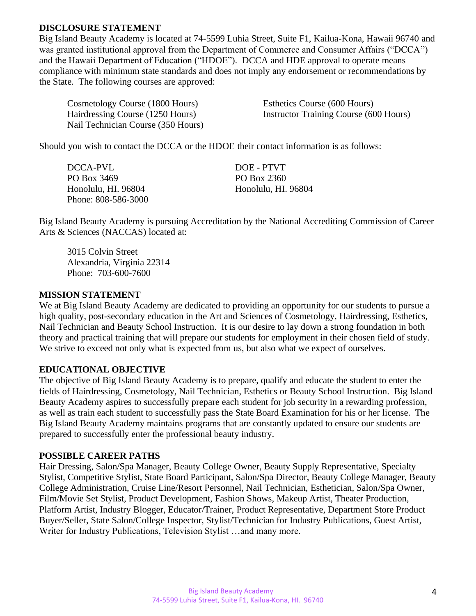#### **DISCLOSURE STATEMENT**

Big Island Beauty Academy is located at 74-5599 Luhia Street, Suite F1, Kailua-Kona, Hawaii 96740 and was granted institutional approval from the Department of Commerce and Consumer Affairs ("DCCA") and the Hawaii Department of Education ("HDOE"). DCCA and HDE approval to operate means compliance with minimum state standards and does not imply any endorsement or recommendations by the State. The following courses are approved:

| Cosmetology Course (1800 Hours)    | Esthetics Course (600 Hours)           |
|------------------------------------|----------------------------------------|
| Hairdressing Course (1250 Hours)   | Instructor Training Course (600 Hours) |
| Nail Technician Course (350 Hours) |                                        |

Should you wish to contact the DCCA or the HDOE their contact information is as follows:

| DCCA-PVL            | DOE - PTVT          |
|---------------------|---------------------|
| PO Box 3469         | PO Box 2360         |
| Honolulu, HI. 96804 | Honolulu, HI. 96804 |
| Phone: 808-586-3000 |                     |

Big Island Beauty Academy is pursuing Accreditation by the National Accrediting Commission of Career Arts & Sciences (NACCAS) located at:

3015 Colvin Street Alexandria, Virginia 22314 Phone: 703-600-7600

#### **MISSION STATEMENT**

We at Big Island Beauty Academy are dedicated to providing an opportunity for our students to pursue a high quality, post-secondary education in the Art and Sciences of Cosmetology, Hairdressing, Esthetics, Nail Technician and Beauty School Instruction. It is our desire to lay down a strong foundation in both theory and practical training that will prepare our students for employment in their chosen field of study. We strive to exceed not only what is expected from us, but also what we expect of ourselves.

#### **EDUCATIONAL OBJECTIVE**

The objective of Big Island Beauty Academy is to prepare, qualify and educate the student to enter the fields of Hairdressing, Cosmetology, Nail Technician, Esthetics or Beauty School Instruction. Big Island Beauty Academy aspires to successfully prepare each student for job security in a rewarding profession, as well as train each student to successfully pass the State Board Examination for his or her license. The Big Island Beauty Academy maintains programs that are constantly updated to ensure our students are prepared to successfully enter the professional beauty industry.

#### **POSSIBLE CAREER PATHS**

Hair Dressing, Salon/Spa Manager, Beauty College Owner, Beauty Supply Representative, Specialty Stylist, Competitive Stylist, State Board Participant, Salon/Spa Director, Beauty College Manager, Beauty College Administration, Cruise Line/Resort Personnel, Nail Technician, Esthetician, Salon/Spa Owner, Film/Movie Set Stylist, Product Development, Fashion Shows, Makeup Artist, Theater Production, Platform Artist, Industry Blogger, Educator/Trainer, Product Representative, Department Store Product Buyer/Seller, State Salon/College Inspector, Stylist/Technician for Industry Publications, Guest Artist, Writer for Industry Publications, Television Stylist …and many more.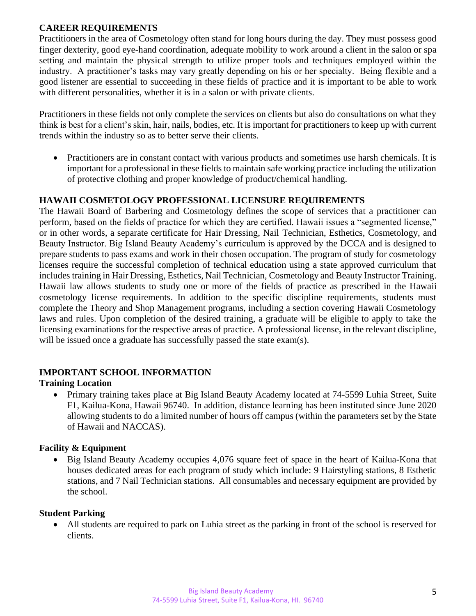#### **CAREER REQUIREMENTS**

Practitioners in the area of Cosmetology often stand for long hours during the day. They must possess good finger dexterity, good eye-hand coordination, adequate mobility to work around a client in the salon or spa setting and maintain the physical strength to utilize proper tools and techniques employed within the industry. A practitioner's tasks may vary greatly depending on his or her specialty. Being flexible and a good listener are essential to succeeding in these fields of practice and it is important to be able to work with different personalities, whether it is in a salon or with private clients.

Practitioners in these fields not only complete the services on clients but also do consultations on what they think is best for a client's skin, hair, nails, bodies, etc. It is important for practitioners to keep up with current trends within the industry so as to better serve their clients.

• Practitioners are in constant contact with various products and sometimes use harsh chemicals. It is important for a professional in these fields to maintain safe working practice including the utilization of protective clothing and proper knowledge of product/chemical handling.

#### **HAWAII COSMETOLOGY PROFESSIONAL LICENSURE REQUIREMENTS**

The Hawaii Board of Barbering and Cosmetology defines the scope of services that a practitioner can perform, based on the fields of practice for which they are certified. Hawaii issues a "segmented license," or in other words, a separate certificate for Hair Dressing, Nail Technician, Esthetics, Cosmetology, and Beauty Instructor. Big Island Beauty Academy's curriculum is approved by the DCCA and is designed to prepare students to pass exams and work in their chosen occupation. The program of study for cosmetology licenses require the successful completion of technical education using a state approved curriculum that includes training in Hair Dressing, Esthetics, Nail Technician, Cosmetology and Beauty Instructor Training. Hawaii law allows students to study one or more of the fields of practice as prescribed in the Hawaii cosmetology license requirements. In addition to the specific discipline requirements, students must complete the Theory and Shop Management programs, including a section covering Hawaii Cosmetology laws and rules. Upon completion of the desired training, a graduate will be eligible to apply to take the licensing examinations for the respective areas of practice. A professional license, in the relevant discipline, will be issued once a graduate has successfully passed the state exam(s).

### **IMPORTANT SCHOOL INFORMATION**

### **Training Location**

• Primary training takes place at Big Island Beauty Academy located at 74-5599 Luhia Street, Suite F1, Kailua-Kona, Hawaii 96740. In addition, distance learning has been instituted since June 2020 allowing students to do a limited number of hours off campus (within the parameters set by the State of Hawaii and NACCAS).

#### **Facility & Equipment**

• Big Island Beauty Academy occupies 4,076 square feet of space in the heart of Kailua-Kona that houses dedicated areas for each program of study which include: 9 Hairstyling stations, 8 Esthetic stations, and 7 Nail Technician stations. All consumables and necessary equipment are provided by the school.

#### **Student Parking**

• All students are required to park on Luhia street as the parking in front of the school is reserved for clients.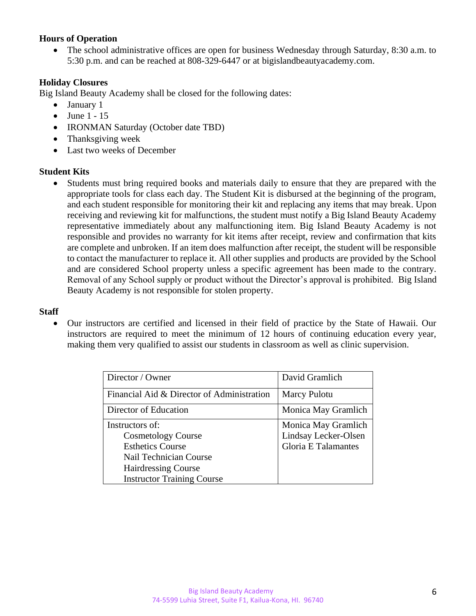#### **Hours of Operation**

• The school administrative offices are open for business Wednesday through Saturday, 8:30 a.m. to 5:30 p.m. and can be reached at 808-329-6447 or at bigislandbeautyacademy.com.

#### **Holiday Closures**

Big Island Beauty Academy shall be closed for the following dates:

- January 1
- $\bullet$  June 1 15
- IRONMAN Saturday (October date TBD)
- Thanksgiving week
- Last two weeks of December

#### **Student Kits**

• Students must bring required books and materials daily to ensure that they are prepared with the appropriate tools for class each day. The Student Kit is disbursed at the beginning of the program, and each student responsible for monitoring their kit and replacing any items that may break. Upon receiving and reviewing kit for malfunctions, the student must notify a Big Island Beauty Academy representative immediately about any malfunctioning item. Big Island Beauty Academy is not responsible and provides no warranty for kit items after receipt, review and confirmation that kits are complete and unbroken. If an item does malfunction after receipt, the student will be responsible to contact the manufacturer to replace it. All other supplies and products are provided by the School and are considered School property unless a specific agreement has been made to the contrary. Removal of any School supply or product without the Director's approval is prohibited. Big Island Beauty Academy is not responsible for stolen property.

#### **Staff**

• Our instructors are certified and licensed in their field of practice by the State of Hawaii. Our instructors are required to meet the minimum of 12 hours of continuing education every year, making them very qualified to assist our students in classroom as well as clinic supervision.

| Director / Owner                           | David Gramlich             |
|--------------------------------------------|----------------------------|
| Financial Aid & Director of Administration | <b>Marcy Pulotu</b>        |
| Director of Education                      | Monica May Gramlich        |
| Instructors of:                            | Monica May Gramlich        |
| <b>Cosmetology Course</b>                  | Lindsay Lecker-Olsen       |
| <b>Esthetics Course</b>                    | <b>Gloria E Talamantes</b> |
| Nail Technician Course                     |                            |
| <b>Hairdressing Course</b>                 |                            |
| <b>Instructor Training Course</b>          |                            |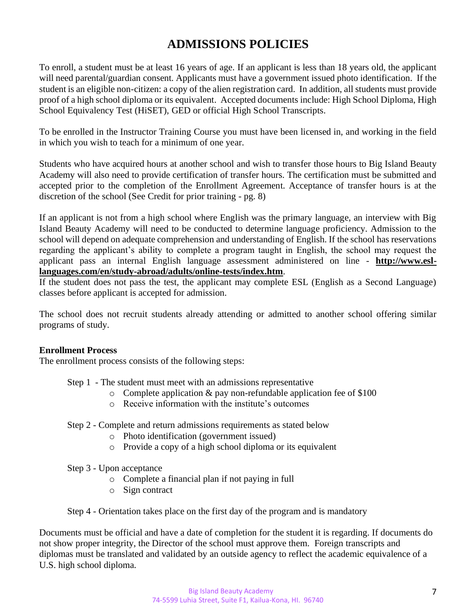## **ADMISSIONS POLICIES**

To enroll, a student must be at least 16 years of age. If an applicant is less than 18 years old, the applicant will need parental/guardian consent. Applicants must have a government issued photo identification. If the student is an eligible non-citizen: a copy of the alien registration card. In addition, all students must provide proof of a high school diploma or its equivalent. Accepted documents include: High School Diploma, High School Equivalency Test (HiSET), GED or official High School Transcripts.

To be enrolled in the Instructor Training Course you must have been licensed in, and working in the field in which you wish to teach for a minimum of one year.

Students who have acquired hours at another school and wish to transfer those hours to Big Island Beauty Academy will also need to provide certification of transfer hours. The certification must be submitted and accepted prior to the completion of the Enrollment Agreement. Acceptance of transfer hours is at the discretion of the school (See Credit for prior training - pg. 8)

If an applicant is not from a high school where English was the primary language, an interview with Big Island Beauty Academy will need to be conducted to determine language proficiency. Admission to the school will depend on adequate comprehension and understanding of English. If the school has reservations regarding the applicant's ability to complete a program taught in English, the school may request the applicant pass an internal English language assessment administered on line - **[http://www.esl](http://www.esl-languages.com/en/study-abroad/adults/online-tests/index.htm)[languages.com/en/study-abroad/adults/online-tests/index.htm](http://www.esl-languages.com/en/study-abroad/adults/online-tests/index.htm)**.

If the student does not pass the test, the applicant may complete ESL (English as a Second Language) classes before applicant is accepted for admission.

The school does not recruit students already attending or admitted to another school offering similar programs of study.

#### **Enrollment Process**

The enrollment process consists of the following steps:

- Step 1 The student must meet with an admissions representative
	- o Complete application & pay non-refundable application fee of \$100
	- o Receive information with the institute's outcomes
- Step 2 Complete and return admissions requirements as stated below
	- o Photo identification (government issued)
	- o Provide a copy of a high school diploma or its equivalent
- Step 3 Upon acceptance
	- o Complete a financial plan if not paying in full
	- o Sign contract

Step 4 - Orientation takes place on the first day of the program and is mandatory

Documents must be official and have a date of completion for the student it is regarding. If documents do not show proper integrity, the Director of the school must approve them. Foreign transcripts and diplomas must be translated and validated by an outside agency to reflect the academic equivalence of a U.S. high school diploma.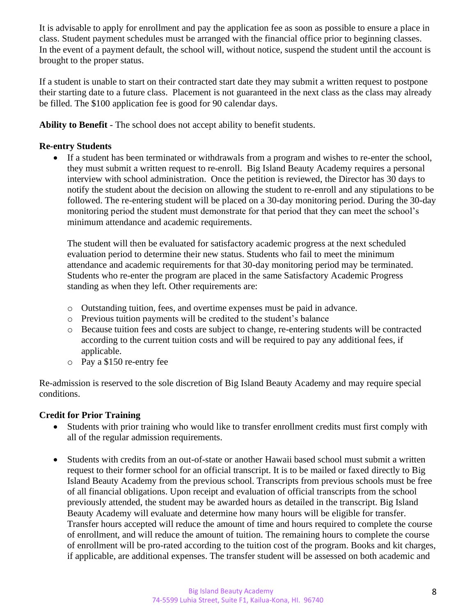It is advisable to apply for enrollment and pay the application fee as soon as possible to ensure a place in class. Student payment schedules must be arranged with the financial office prior to beginning classes. In the event of a payment default, the school will, without notice, suspend the student until the account is brought to the proper status.

If a student is unable to start on their contracted start date they may submit a written request to postpone their starting date to a future class. Placement is not guaranteed in the next class as the class may already be filled. The \$100 application fee is good for 90 calendar days.

**Ability to Benefit** - The school does not accept ability to benefit students.

#### **Re-entry Students**

• If a student has been terminated or withdrawals from a program and wishes to re-enter the school, they must submit a written request to re-enroll. Big Island Beauty Academy requires a personal interview with school administration. Once the petition is reviewed, the Director has 30 days to notify the student about the decision on allowing the student to re-enroll and any stipulations to be followed. The re-entering student will be placed on a 30-day monitoring period. During the 30-day monitoring period the student must demonstrate for that period that they can meet the school's minimum attendance and academic requirements.

The student will then be evaluated for satisfactory academic progress at the next scheduled evaluation period to determine their new status. Students who fail to meet the minimum attendance and academic requirements for that 30-day monitoring period may be terminated. Students who re-enter the program are placed in the same Satisfactory Academic Progress standing as when they left. Other requirements are:

- o Outstanding tuition, fees, and overtime expenses must be paid in advance.
- o Previous tuition payments will be credited to the student's balance
- o Because tuition fees and costs are subject to change, re-entering students will be contracted according to the current tuition costs and will be required to pay any additional fees, if applicable.
- o Pay a \$150 re-entry fee

Re-admission is reserved to the sole discretion of Big Island Beauty Academy and may require special conditions.

#### **Credit for Prior Training**

- Students with prior training who would like to transfer enrollment credits must first comply with all of the regular admission requirements.
- Students with credits from an out-of-state or another Hawaii based school must submit a written request to their former school for an official transcript. It is to be mailed or faxed directly to Big Island Beauty Academy from the previous school. Transcripts from previous schools must be free of all financial obligations. Upon receipt and evaluation of official transcripts from the school previously attended, the student may be awarded hours as detailed in the transcript. Big Island Beauty Academy will evaluate and determine how many hours will be eligible for transfer. Transfer hours accepted will reduce the amount of time and hours required to complete the course of enrollment, and will reduce the amount of tuition. The remaining hours to complete the course of enrollment will be pro-rated according to the tuition cost of the program. Books and kit charges, if applicable, are additional expenses. The transfer student will be assessed on both academic and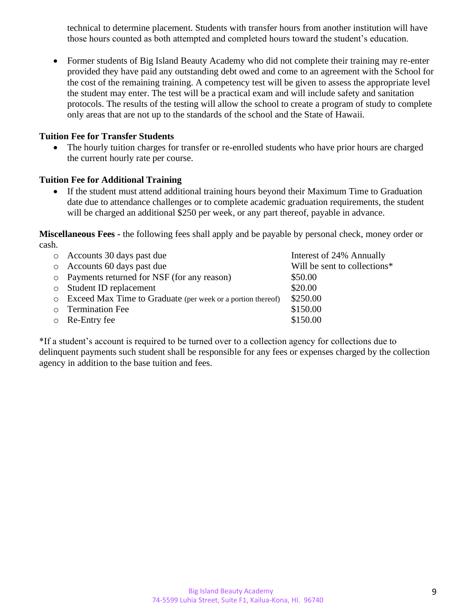technical to determine placement. Students with transfer hours from another institution will have those hours counted as both attempted and completed hours toward the student's education.

• Former students of Big Island Beauty Academy who did not complete their training may re-enter provided they have paid any outstanding debt owed and come to an agreement with the School for the cost of the remaining training. A competency test will be given to assess the appropriate level the student may enter. The test will be a practical exam and will include safety and sanitation protocols. The results of the testing will allow the school to create a program of study to complete only areas that are not up to the standards of the school and the State of Hawaii.

#### **Tuition Fee for Transfer Students**

• The hourly tuition charges for transfer or re-enrolled students who have prior hours are charged the current hourly rate per course.

#### **Tuition Fee for Additional Training**

• If the student must attend additional training hours beyond their Maximum Time to Graduation date due to attendance challenges or to complete academic graduation requirements, the student will be charged an additional \$250 per week, or any part thereof, payable in advance.

**Miscellaneous Fees -** the following fees shall apply and be payable by personal check, money order or cash.

| o Accounts 30 days past due                                   | Interest of 24% Annually     |
|---------------------------------------------------------------|------------------------------|
| $\circ$ Accounts 60 days past due                             | Will be sent to collections* |
| • Payments returned for NSF (for any reason)                  | \$50.00                      |
| <b>Student ID replacement</b>                                 | \$20.00                      |
| • Exceed Max Time to Graduate (per week or a portion thereof) | \$250.00                     |
| <b>O</b> Termination Fee                                      | \$150.00                     |
| $\circ$ Re-Entry fee                                          | \$150.00                     |

\*If a student's account is required to be turned over to a collection agency for collections due to delinquent payments such student shall be responsible for any fees or expenses charged by the collection agency in addition to the base tuition and fees.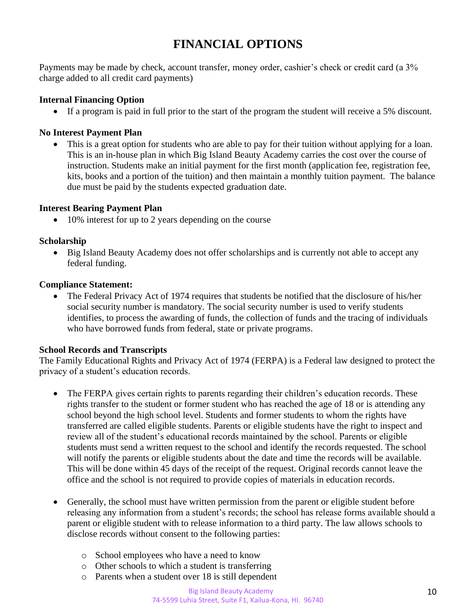## **FINANCIAL OPTIONS**

Payments may be made by check, account transfer, money order, cashier's check or credit card (a 3% charge added to all credit card payments)

#### **Internal Financing Option**

• If a program is paid in full prior to the start of the program the student will receive a 5% discount.

#### **No Interest Payment Plan**

• This is a great option for students who are able to pay for their tuition without applying for a loan. This is an in-house plan in which Big Island Beauty Academy carries the cost over the course of instruction. Students make an initial payment for the first month (application fee, registration fee, kits, books and a portion of the tuition) and then maintain a monthly tuition payment. The balance due must be paid by the students expected graduation date.

#### **Interest Bearing Payment Plan**

• 10% interest for up to 2 years depending on the course

#### **Scholarship**

• Big Island Beauty Academy does not offer scholarships and is currently not able to accept any federal funding.

#### **Compliance Statement:**

• The Federal Privacy Act of 1974 requires that students be notified that the disclosure of his/her social security number is mandatory. The social security number is used to verify students identifies, to process the awarding of funds, the collection of funds and the tracing of individuals who have borrowed funds from federal, state or private programs.

#### **School Records and Transcripts**

The Family Educational Rights and Privacy Act of 1974 (FERPA) is a Federal law designed to protect the privacy of a student's education records.

- The FERPA gives certain rights to parents regarding their children's education records. These rights transfer to the student or former student who has reached the age of 18 or is attending any school beyond the high school level. Students and former students to whom the rights have transferred are called eligible students. Parents or eligible students have the right to inspect and review all of the student's educational records maintained by the school. Parents or eligible students must send a written request to the school and identify the records requested. The school will notify the parents or eligible students about the date and time the records will be available. This will be done within 45 days of the receipt of the request. Original records cannot leave the office and the school is not required to provide copies of materials in education records.
- Generally, the school must have written permission from the parent or eligible student before releasing any information from a student's records; the school has release forms available should a parent or eligible student with to release information to a third party. The law allows schools to disclose records without consent to the following parties:
	- o School employees who have a need to know
	- o Other schools to which a student is transferring
	- o Parents when a student over 18 is still dependent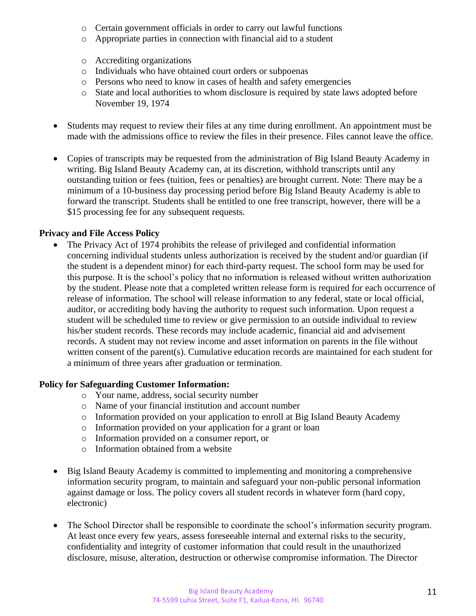- o Certain government officials in order to carry out lawful functions
- o Appropriate parties in connection with financial aid to a student
- o Accrediting organizations
- o Individuals who have obtained court orders or subpoenas
- o Persons who need to know in cases of health and safety emergencies
- o State and local authorities to whom disclosure is required by state laws adopted before November 19, 1974
- Students may request to review their files at any time during enrollment. An appointment must be made with the admissions office to review the files in their presence. Files cannot leave the office.
- Copies of transcripts may be requested from the administration of Big Island Beauty Academy in writing. Big Island Beauty Academy can, at its discretion, withhold transcripts until any outstanding tuition or fees (tuition, fees or penalties) are brought current. Note: There may be a minimum of a 10-business day processing period before Big Island Beauty Academy is able to forward the transcript. Students shall be entitled to one free transcript, however, there will be a \$15 processing fee for any subsequent requests.

### **Privacy and File Access Policy**

• The Privacy Act of 1974 prohibits the release of privileged and confidential information concerning individual students unless authorization is received by the student and/or guardian (if the student is a dependent minor) for each third-party request. The school form may be used for this purpose. It is the school's policy that no information is released without written authorization by the student. Please note that a completed written release form is required for each occurrence of release of information. The school will release information to any federal, state or local official, auditor, or accrediting body having the authority to request such information. Upon request a student will be scheduled time to review or give permission to an outside individual to review his/her student records. These records may include academic, financial aid and advisement records. A student may not review income and asset information on parents in the file without written consent of the parent(s). Cumulative education records are maintained for each student for a minimum of three years after graduation or termination.

#### **Policy for Safeguarding Customer Information:**

- o Your name, address, social security number
- o Name of your financial institution and account number
- o Information provided on your application to enroll at Big Island Beauty Academy
- o Information provided on your application for a grant or loan
- o Information provided on a consumer report, or
- o Information obtained from a website
- Big Island Beauty Academy is committed to implementing and monitoring a comprehensive information security program, to maintain and safeguard your non-public personal information against damage or loss. The policy covers all student records in whatever form (hard copy, electronic)
- The School Director shall be responsible to coordinate the school's information security program. At least once every few years, assess foreseeable internal and external risks to the security, confidentiality and integrity of customer information that could result in the unauthorized disclosure, misuse, alteration, destruction or otherwise compromise information. The Director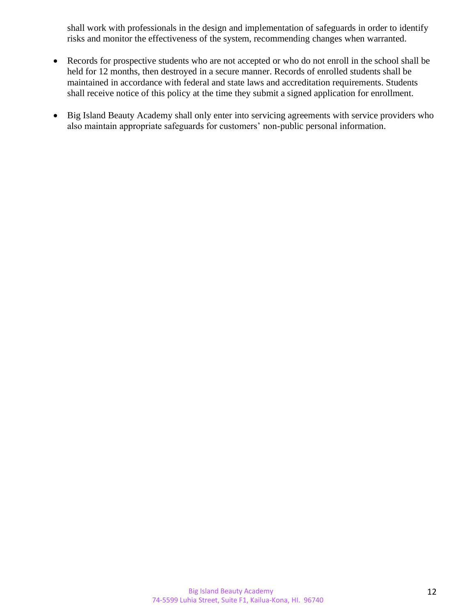shall work with professionals in the design and implementation of safeguards in order to identify risks and monitor the effectiveness of the system, recommending changes when warranted.

- Records for prospective students who are not accepted or who do not enroll in the school shall be held for 12 months, then destroyed in a secure manner. Records of enrolled students shall be maintained in accordance with federal and state laws and accreditation requirements. Students shall receive notice of this policy at the time they submit a signed application for enrollment.
- Big Island Beauty Academy shall only enter into servicing agreements with service providers who also maintain appropriate safeguards for customers' non-public personal information.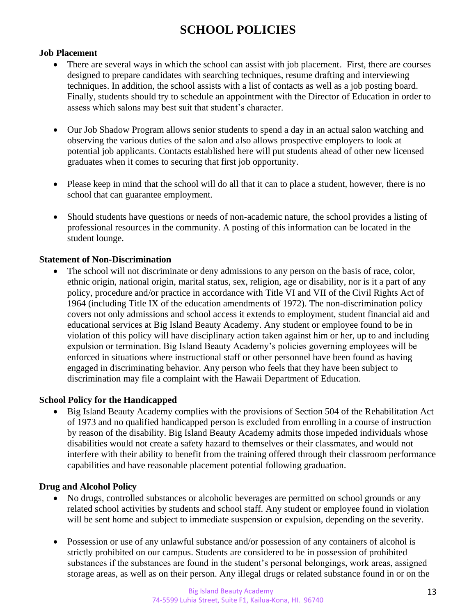## **SCHOOL POLICIES**

#### **Job Placement**

- There are several ways in which the school can assist with job placement. First, there are courses designed to prepare candidates with searching techniques, resume drafting and interviewing techniques. In addition, the school assists with a list of contacts as well as a job posting board. Finally, students should try to schedule an appointment with the Director of Education in order to assess which salons may best suit that student's character.
- Our Job Shadow Program allows senior students to spend a day in an actual salon watching and observing the various duties of the salon and also allows prospective employers to look at potential job applicants. Contacts established here will put students ahead of other new licensed graduates when it comes to securing that first job opportunity.
- Please keep in mind that the school will do all that it can to place a student, however, there is no school that can guarantee employment.
- Should students have questions or needs of non-academic nature, the school provides a listing of professional resources in the community. A posting of this information can be located in the student lounge.

#### **Statement of Non-Discrimination**

• The school will not discriminate or deny admissions to any person on the basis of race, color, ethnic origin, national origin, marital status, sex, religion, age or disability, nor is it a part of any policy, procedure and/or practice in accordance with Title VI and VII of the Civil Rights Act of 1964 (including Title IX of the education amendments of 1972). The non-discrimination policy covers not only admissions and school access it extends to employment, student financial aid and educational services at Big Island Beauty Academy. Any student or employee found to be in violation of this policy will have disciplinary action taken against him or her, up to and including expulsion or termination. Big Island Beauty Academy's policies governing employees will be enforced in situations where instructional staff or other personnel have been found as having engaged in discriminating behavior. Any person who feels that they have been subject to discrimination may file a complaint with the Hawaii Department of Education.

#### **School Policy for the Handicapped**

• Big Island Beauty Academy complies with the provisions of Section 504 of the Rehabilitation Act of 1973 and no qualified handicapped person is excluded from enrolling in a course of instruction by reason of the disability. Big Island Beauty Academy admits those impeded individuals whose disabilities would not create a safety hazard to themselves or their classmates, and would not interfere with their ability to benefit from the training offered through their classroom performance capabilities and have reasonable placement potential following graduation.

#### **Drug and Alcohol Policy**

- No drugs, controlled substances or alcoholic beverages are permitted on school grounds or any related school activities by students and school staff. Any student or employee found in violation will be sent home and subject to immediate suspension or expulsion, depending on the severity.
- Possession or use of any unlawful substance and/or possession of any containers of alcohol is strictly prohibited on our campus. Students are considered to be in possession of prohibited substances if the substances are found in the student's personal belongings, work areas, assigned storage areas, as well as on their person. Any illegal drugs or related substance found in or on the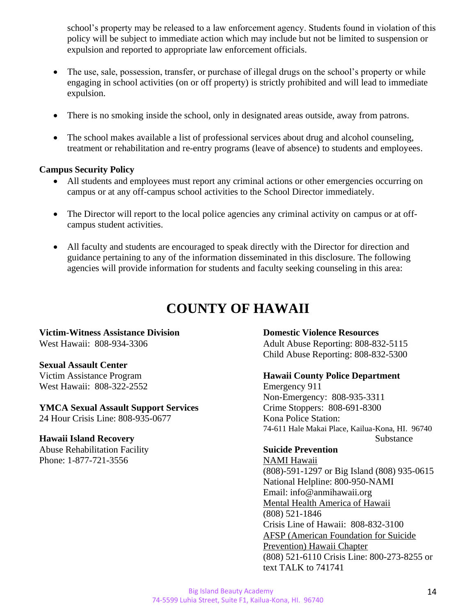school's property may be released to a law enforcement agency. Students found in violation of this policy will be subject to immediate action which may include but not be limited to suspension or expulsion and reported to appropriate law enforcement officials.

- The use, sale, possession, transfer, or purchase of illegal drugs on the school's property or while engaging in school activities (on or off property) is strictly prohibited and will lead to immediate expulsion.
- There is no smoking inside the school, only in designated areas outside, away from patrons.
- The school makes available a list of professional services about drug and alcohol counseling, treatment or rehabilitation and re-entry programs (leave of absence) to students and employees.

#### **Campus Security Policy**

- All students and employees must report any criminal actions or other emergencies occurring on campus or at any off-campus school activities to the School Director immediately.
- The Director will report to the local police agencies any criminal activity on campus or at offcampus student activities.
- All faculty and students are encouraged to speak directly with the Director for direction and guidance pertaining to any of the information disseminated in this disclosure. The following agencies will provide information for students and faculty seeking counseling in this area:

## **COUNTY OF HAWAII**

## **Victim-Witness Assistance Division Domestic Violence Resources**

#### **Sexual Assault Center**

West Hawaii: 808-322-2552 Emergency 911

#### **YMCA Sexual Assault Support Services** Crime Stoppers: 808-691-8300

24 Hour Crisis Line: 808-935-0677 Kona Police Station:

Abuse Rehabilitation Facility **Suicide Prevention** Phone: 1-877-721-3556 [NAMI Hawaii](http://www.namihawaii.org/)

West Hawaii: 808-934-3306 Adult Abuse Reporting: 808-832-5115 Child Abuse Reporting: 808-832-5300

#### Victim Assistance Program **Hawaii County Police Department**

Non-Emergency: 808-935-3311 74-611 Hale Makai Place, Kailua-Kona, HI. 96740 **Hawaii Island Recovery** Substance

(808)-591-1297 or Big Island (808) 935-0615 National Helpline: 800-950-NAMI Email: info@anmihawaii.org [Mental Health America of Hawaii](http://mentalhealthhawaii.org/) (808) 521-1846 Crisis Line of Hawaii: 808-832-3100 [AFSP \(American Foundation for Suicide](https://afsp.org/chapter/afsp-hawaii/)  [Prevention\) Hawaii Chapter](https://afsp.org/chapter/afsp-hawaii/) (808) 521-6110 Crisis Line: 800-273-8255 or text TALK to 741741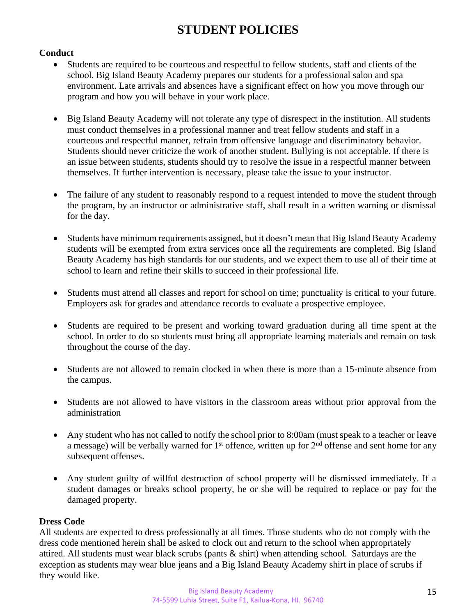## **STUDENT POLICIES**

#### **Conduct**

- Students are required to be courteous and respectful to fellow students, staff and clients of the school. Big Island Beauty Academy prepares our students for a professional salon and spa environment. Late arrivals and absences have a significant effect on how you move through our program and how you will behave in your work place.
- Big Island Beauty Academy will not tolerate any type of disrespect in the institution. All students must conduct themselves in a professional manner and treat fellow students and staff in a courteous and respectful manner, refrain from offensive language and discriminatory behavior. Students should never criticize the work of another student. Bullying is not acceptable. If there is an issue between students, students should try to resolve the issue in a respectful manner between themselves. If further intervention is necessary, please take the issue to your instructor.
- The failure of any student to reasonably respond to a request intended to move the student through the program, by an instructor or administrative staff, shall result in a written warning or dismissal for the day.
- Students have minimum requirements assigned, but it doesn't mean that Big Island Beauty Academy students will be exempted from extra services once all the requirements are completed. Big Island Beauty Academy has high standards for our students, and we expect them to use all of their time at school to learn and refine their skills to succeed in their professional life.
- Students must attend all classes and report for school on time; punctuality is critical to your future. Employers ask for grades and attendance records to evaluate a prospective employee.
- Students are required to be present and working toward graduation during all time spent at the school. In order to do so students must bring all appropriate learning materials and remain on task throughout the course of the day.
- Students are not allowed to remain clocked in when there is more than a 15-minute absence from the campus.
- Students are not allowed to have visitors in the classroom areas without prior approval from the administration
- Any student who has not called to notify the school prior to 8:00am (must speak to a teacher or leave a message) will be verbally warned for  $1<sup>st</sup>$  offence, written up for  $2<sup>nd</sup>$  offense and sent home for any subsequent offenses.
- Any student guilty of willful destruction of school property will be dismissed immediately. If a student damages or breaks school property, he or she will be required to replace or pay for the damaged property.

### **Dress Code**

All students are expected to dress professionally at all times. Those students who do not comply with the dress code mentioned herein shall be asked to clock out and return to the school when appropriately attired. All students must wear black scrubs (pants & shirt) when attending school. Saturdays are the exception as students may wear blue jeans and a Big Island Beauty Academy shirt in place of scrubs if they would like.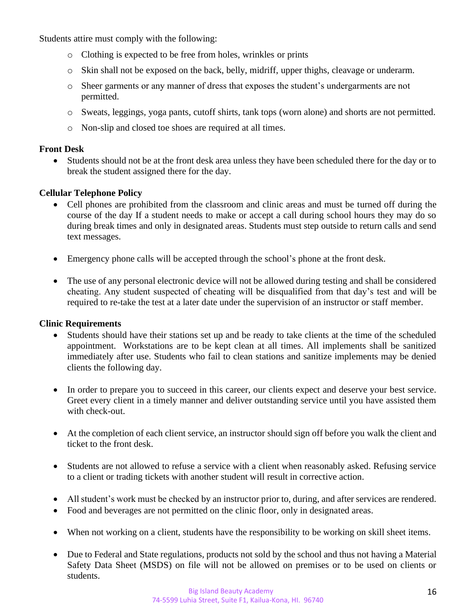Students attire must comply with the following:

- o Clothing is expected to be free from holes, wrinkles or prints
- o Skin shall not be exposed on the back, belly, midriff, upper thighs, cleavage or underarm.
- o Sheer garments or any manner of dress that exposes the student's undergarments are not permitted.
- o Sweats, leggings, yoga pants, cutoff shirts, tank tops (worn alone) and shorts are not permitted.
- o Non-slip and closed toe shoes are required at all times.

#### **Front Desk**

• Students should not be at the front desk area unless they have been scheduled there for the day or to break the student assigned there for the day.

#### **Cellular Telephone Policy**

- Cell phones are prohibited from the classroom and clinic areas and must be turned off during the course of the day If a student needs to make or accept a call during school hours they may do so during break times and only in designated areas. Students must step outside to return calls and send text messages.
- Emergency phone calls will be accepted through the school's phone at the front desk.
- The use of any personal electronic device will not be allowed during testing and shall be considered cheating. Any student suspected of cheating will be disqualified from that day's test and will be required to re-take the test at a later date under the supervision of an instructor or staff member.

#### **Clinic Requirements**

- Students should have their stations set up and be ready to take clients at the time of the scheduled appointment. Workstations are to be kept clean at all times. All implements shall be sanitized immediately after use. Students who fail to clean stations and sanitize implements may be denied clients the following day.
- In order to prepare you to succeed in this career, our clients expect and deserve your best service. Greet every client in a timely manner and deliver outstanding service until you have assisted them with check-out.
- At the completion of each client service, an instructor should sign off before you walk the client and ticket to the front desk.
- Students are not allowed to refuse a service with a client when reasonably asked. Refusing service to a client or trading tickets with another student will result in corrective action.
- All student's work must be checked by an instructor prior to, during, and after services are rendered.
- Food and beverages are not permitted on the clinic floor, only in designated areas.
- When not working on a client, students have the responsibility to be working on skill sheet items.
- Due to Federal and State regulations, products not sold by the school and thus not having a Material Safety Data Sheet (MSDS) on file will not be allowed on premises or to be used on clients or students.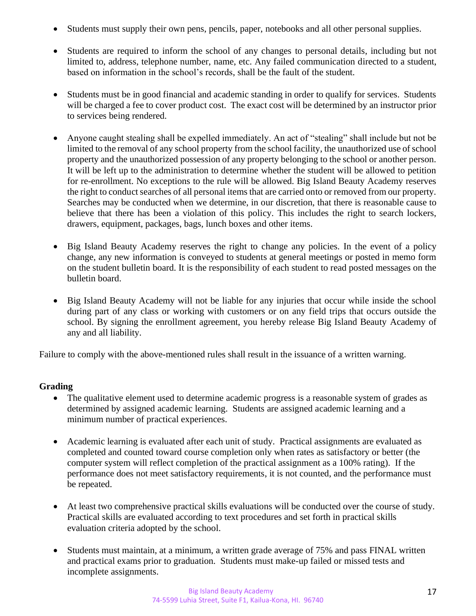- Students must supply their own pens, pencils, paper, notebooks and all other personal supplies.
- Students are required to inform the school of any changes to personal details, including but not limited to, address, telephone number, name, etc. Any failed communication directed to a student, based on information in the school's records, shall be the fault of the student.
- Students must be in good financial and academic standing in order to qualify for services. Students will be charged a fee to cover product cost. The exact cost will be determined by an instructor prior to services being rendered.
- Anyone caught stealing shall be expelled immediately. An act of "stealing" shall include but not be limited to the removal of any school property from the school facility, the unauthorized use of school property and the unauthorized possession of any property belonging to the school or another person. It will be left up to the administration to determine whether the student will be allowed to petition for re-enrollment. No exceptions to the rule will be allowed. Big Island Beauty Academy reserves the right to conduct searches of all personal items that are carried onto or removed from our property. Searches may be conducted when we determine, in our discretion, that there is reasonable cause to believe that there has been a violation of this policy. This includes the right to search lockers, drawers, equipment, packages, bags, lunch boxes and other items.
- Big Island Beauty Academy reserves the right to change any policies. In the event of a policy change, any new information is conveyed to students at general meetings or posted in memo form on the student bulletin board. It is the responsibility of each student to read posted messages on the bulletin board.
- Big Island Beauty Academy will not be liable for any injuries that occur while inside the school during part of any class or working with customers or on any field trips that occurs outside the school. By signing the enrollment agreement, you hereby release Big Island Beauty Academy of any and all liability.

Failure to comply with the above-mentioned rules shall result in the issuance of a written warning.

#### **Grading**

- The qualitative element used to determine academic progress is a reasonable system of grades as determined by assigned academic learning. Students are assigned academic learning and a minimum number of practical experiences.
- Academic learning is evaluated after each unit of study. Practical assignments are evaluated as completed and counted toward course completion only when rates as satisfactory or better (the computer system will reflect completion of the practical assignment as a 100% rating). If the performance does not meet satisfactory requirements, it is not counted, and the performance must be repeated.
- At least two comprehensive practical skills evaluations will be conducted over the course of study. Practical skills are evaluated according to text procedures and set forth in practical skills evaluation criteria adopted by the school.
- Students must maintain, at a minimum, a written grade average of 75% and pass FINAL written and practical exams prior to graduation. Students must make-up failed or missed tests and incomplete assignments.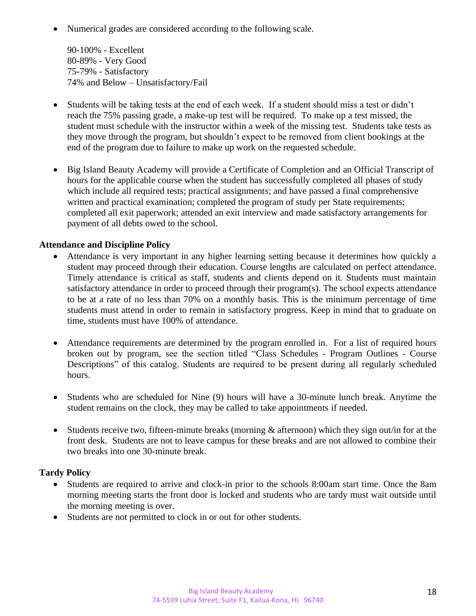• Numerical grades are considered according to the following scale.

90-100% - Excellent 80-89% - Very Good 75-79% - Satisfactory 74% and Below – Unsatisfactory/Fail

- Students will be taking tests at the end of each week. If a student should miss a test or didn't reach the 75% passing grade, a make-up test will be required. To make up a test missed, the student must schedule with the instructor within a week of the missing test. Students take tests as they move through the program, but shouldn't expect to be removed from client bookings at the end of the program due to failure to make up work on the requested schedule.
- Big Island Beauty Academy will provide a Certificate of Completion and an Official Transcript of hours for the applicable course when the student has successfully completed all phases of study which include all required tests; practical assignments; and have passed a final comprehensive written and practical examination; completed the program of study per State requirements; completed all exit paperwork; attended an exit interview and made satisfactory arrangements for payment of all debts owed to the school.

#### **Attendance and Discipline Policy**

- Attendance is very important in any higher learning setting because it determines how quickly a student may proceed through their education. Course lengths are calculated on perfect attendance. Timely attendance is critical as staff, students and clients depend on it. Students must maintain satisfactory attendance in order to proceed through their program(s). The school expects attendance to be at a rate of no less than 70% on a monthly basis. This is the minimum percentage of time students must attend in order to remain in satisfactory progress. Keep in mind that to graduate on time, students must have 100% of attendance.
- Attendance requirements are determined by the program enrolled in. For a list of required hours broken out by program, see the section titled "Class Schedules - Program Outlines - Course Descriptions" of this catalog. Students are required to be present during all regularly scheduled hours.
- Students who are scheduled for Nine (9) hours will have a 30-minute lunch break. Anytime the student remains on the clock, they may be called to take appointments if needed.
- Students receive two, fifteen-minute breaks (morning & afternoon) which they sign out/in for at the front desk. Students are not to leave campus for these breaks and are not allowed to combine their two breaks into one 30-minute break.

#### **Tardy Policy**

- Students are required to arrive and clock-in prior to the schools 8:00am start time. Once the 8am morning meeting starts the front door is locked and students who are tardy must wait outside until the morning meeting is over.
- Students are not permitted to clock in or out for other students.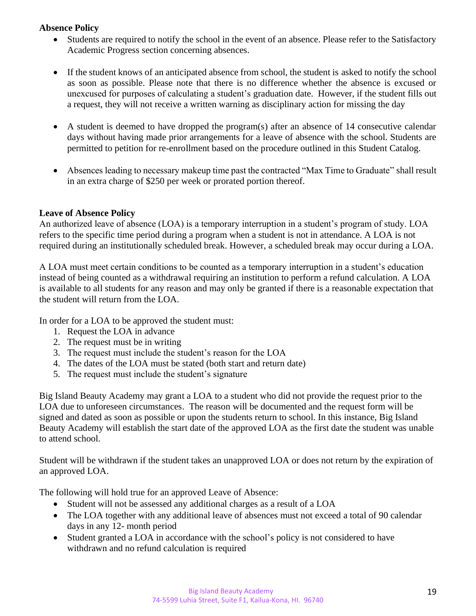#### **Absence Policy**

- Students are required to notify the school in the event of an absence. Please refer to the Satisfactory Academic Progress section concerning absences.
- If the student knows of an anticipated absence from school, the student is asked to notify the school as soon as possible. Please note that there is no difference whether the absence is excused or unexcused for purposes of calculating a student's graduation date. However, if the student fills out a request, they will not receive a written warning as disciplinary action for missing the day
- A student is deemed to have dropped the program(s) after an absence of 14 consecutive calendar days without having made prior arrangements for a leave of absence with the school. Students are permitted to petition for re-enrollment based on the procedure outlined in this Student Catalog.
- Absences leading to necessary makeup time past the contracted "Max Time to Graduate" shall result in an extra charge of \$250 per week or prorated portion thereof.

#### **Leave of Absence Policy**

An authorized leave of absence (LOA) is a temporary interruption in a student's program of study. LOA refers to the specific time period during a program when a student is not in attendance. A LOA is not required during an institutionally scheduled break. However, a scheduled break may occur during a LOA.

A LOA must meet certain conditions to be counted as a temporary interruption in a student's education instead of being counted as a withdrawal requiring an institution to perform a refund calculation. A LOA is available to all students for any reason and may only be granted if there is a reasonable expectation that the student will return from the LOA.

In order for a LOA to be approved the student must:

- 1. Request the LOA in advance
- 2. The request must be in writing
- 3. The request must include the student's reason for the LOA
- 4. The dates of the LOA must be stated (both start and return date)
- 5. The request must include the student's signature

Big Island Beauty Academy may grant a LOA to a student who did not provide the request prior to the LOA due to unforeseen circumstances. The reason will be documented and the request form will be signed and dated as soon as possible or upon the students return to school. In this instance, Big Island Beauty Academy will establish the start date of the approved LOA as the first date the student was unable to attend school.

Student will be withdrawn if the student takes an unapproved LOA or does not return by the expiration of an approved LOA.

The following will hold true for an approved Leave of Absence:

- Student will not be assessed any additional charges as a result of a LOA
- The LOA together with any additional leave of absences must not exceed a total of 90 calendar days in any 12- month period
- Student granted a LOA in accordance with the school's policy is not considered to have withdrawn and no refund calculation is required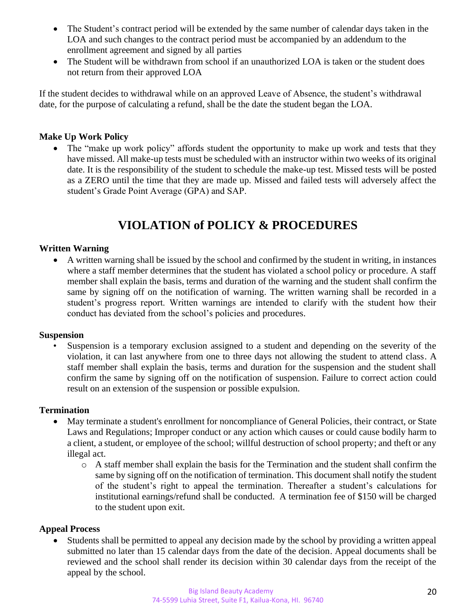- The Student's contract period will be extended by the same number of calendar days taken in the LOA and such changes to the contract period must be accompanied by an addendum to the enrollment agreement and signed by all parties
- The Student will be withdrawn from school if an unauthorized LOA is taken or the student does not return from their approved LOA

If the student decides to withdrawal while on an approved Leave of Absence, the student's withdrawal date, for the purpose of calculating a refund, shall be the date the student began the LOA.

#### **Make Up Work Policy**

• The "make up work policy" affords student the opportunity to make up work and tests that they have missed. All make-up tests must be scheduled with an instructor within two weeks of its original date. It is the responsibility of the student to schedule the make-up test. Missed tests will be posted as a ZERO until the time that they are made up. Missed and failed tests will adversely affect the student's Grade Point Average (GPA) and SAP.

## **VIOLATION of POLICY & PROCEDURES**

#### **Written Warning**

• A written warning shall be issued by the school and confirmed by the student in writing, in instances where a staff member determines that the student has violated a school policy or procedure. A staff member shall explain the basis, terms and duration of the warning and the student shall confirm the same by signing off on the notification of warning. The written warning shall be recorded in a student's progress report. Written warnings are intended to clarify with the student how their conduct has deviated from the school's policies and procedures.

#### **Suspension**

Suspension is a temporary exclusion assigned to a student and depending on the severity of the violation, it can last anywhere from one to three days not allowing the student to attend class. A staff member shall explain the basis, terms and duration for the suspension and the student shall confirm the same by signing off on the notification of suspension. Failure to correct action could result on an extension of the suspension or possible expulsion.

#### **Termination**

- May terminate a student's enrollment for noncompliance of General Policies, their contract, or State Laws and Regulations; Improper conduct or any action which causes or could cause bodily harm to a client, a student, or employee of the school; willful destruction of school property; and theft or any illegal act.
	- o A staff member shall explain the basis for the Termination and the student shall confirm the same by signing off on the notification of termination. This document shall notify the student of the student's right to appeal the termination. Thereafter a student's calculations for institutional earnings/refund shall be conducted. A termination fee of \$150 will be charged to the student upon exit.

#### **Appeal Process**

• Students shall be permitted to appeal any decision made by the school by providing a written appeal submitted no later than 15 calendar days from the date of the decision. Appeal documents shall be reviewed and the school shall render its decision within 30 calendar days from the receipt of the appeal by the school.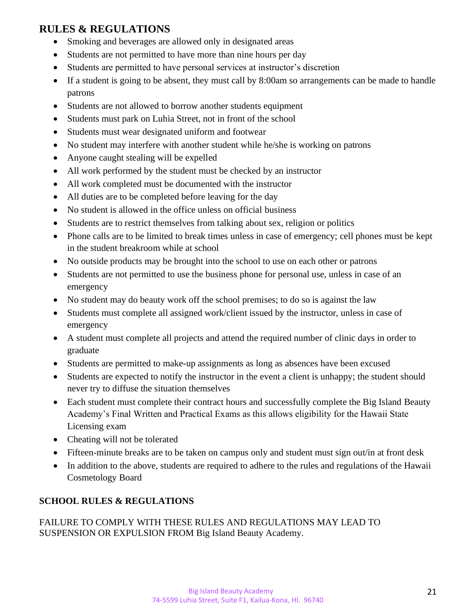## **RULES & REGULATIONS**

- Smoking and beverages are allowed only in designated areas
- Students are not permitted to have more than nine hours per day
- Students are permitted to have personal services at instructor's discretion
- If a student is going to be absent, they must call by 8:00am so arrangements can be made to handle patrons
- Students are not allowed to borrow another students equipment
- Students must park on Luhia Street, not in front of the school
- Students must wear designated uniform and footwear
- No student may interfere with another student while he/she is working on patrons
- Anyone caught stealing will be expelled
- All work performed by the student must be checked by an instructor
- All work completed must be documented with the instructor
- All duties are to be completed before leaving for the day
- No student is allowed in the office unless on official business
- Students are to restrict themselves from talking about sex, religion or politics
- Phone calls are to be limited to break times unless in case of emergency; cell phones must be kept in the student breakroom while at school
- No outside products may be brought into the school to use on each other or patrons
- Students are not permitted to use the business phone for personal use, unless in case of an emergency
- No student may do beauty work off the school premises; to do so is against the law
- Students must complete all assigned work/client issued by the instructor, unless in case of emergency
- A student must complete all projects and attend the required number of clinic days in order to graduate
- Students are permitted to make-up assignments as long as absences have been excused
- Students are expected to notify the instructor in the event a client is unhappy; the student should never try to diffuse the situation themselves
- Each student must complete their contract hours and successfully complete the Big Island Beauty Academy's Final Written and Practical Exams as this allows eligibility for the Hawaii State Licensing exam
- Cheating will not be tolerated
- Fifteen-minute breaks are to be taken on campus only and student must sign out/in at front desk
- In addition to the above, students are required to adhere to the rules and regulations of the Hawaii Cosmetology Board

### **SCHOOL RULES & REGULATIONS**

FAILURE TO COMPLY WITH THESE RULES AND REGULATIONS MAY LEAD TO SUSPENSION OR EXPULSION FROM Big Island Beauty Academy.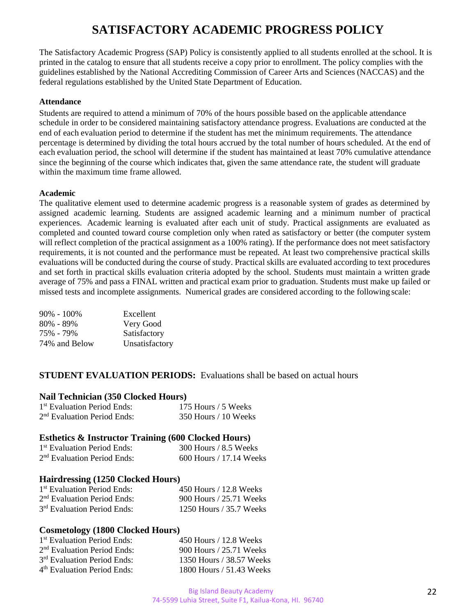## **SATISFACTORY ACADEMIC PROGRESS POLICY**

The Satisfactory Academic Progress (SAP) Policy is consistently applied to all students enrolled at the school. It is printed in the catalog to ensure that all students receive a copy prior to enrollment. The policy complies with the guidelines established by the National Accrediting Commission of Career Arts and Sciences (NACCAS) and the federal regulations established by the United State Department of Education.

#### **Attendance**

Students are required to attend a minimum of 70% of the hours possible based on the applicable attendance schedule in order to be considered maintaining satisfactory attendance progress. Evaluations are conducted at the end of each evaluation period to determine if the student has met the minimum requirements. The attendance percentage is determined by dividing the total hours accrued by the total number of hours scheduled. At the end of each evaluation period, the school will determine if the student has maintained at least 70% cumulative attendance since the beginning of the course which indicates that, given the same attendance rate, the student will graduate within the maximum time frame allowed.

#### **Academic**

The qualitative element used to determine academic progress is a reasonable system of grades as determined by assigned academic learning. Students are assigned academic learning and a minimum number of practical experiences. Academic learning is evaluated after each unit of study. Practical assignments are evaluated as completed and counted toward course completion only when rated as satisfactory or better (the computer system will reflect completion of the practical assignment as a 100% rating). If the performance does not meet satisfactory requirements, it is not counted and the performance must be repeated. At least two comprehensive practical skills evaluations will be conducted during the course of study. Practical skills are evaluated according to text procedures and set forth in practical skills evaluation criteria adopted by the school. Students must maintain a written grade average of 75% and pass a FINAL written and practical exam prior to graduation. Students must make up failed or missed tests and incomplete assignments. Numerical grades are considered according to the following scale:

| Excellent      |
|----------------|
| Very Good      |
| Satisfactory   |
| Unsatisfactory |
|                |

#### **STUDENT EVALUATION PERIODS:** Evaluations shall be based on actual hours

#### **Nail Technician (350 Clocked Hours)**

| <sup>1st</sup> Evaluation Period Ends:  | 175 Hours / 5 Weeks    |
|-----------------------------------------|------------------------|
| 2 <sup>nd</sup> Evaluation Period Ends: | $350$ Hours / 10 Weeks |

#### **Esthetics & Instructor Training (600 Clocked Hours)**

| <sup>1st</sup> Evaluation Period Ends: | $300$ Hours / 8.5 Weeks   |
|----------------------------------------|---------------------------|
| $2nd$ Evaluation Period Ends:          | $600$ Hours / 17.14 Weeks |

#### **Hairdressing (1250 Clocked Hours)**

| 1 <sup>st</sup> Evaluation Period Ends: | 450 Hours / 12.8 Weeks  |
|-----------------------------------------|-------------------------|
| $2nd$ Evaluation Period Ends:           | 900 Hours / 25.71 Weeks |
| 3 <sup>rd</sup> Evaluation Period Ends: | 1250 Hours / 35.7 Weeks |

#### **Cosmetology (1800 Clocked Hours)**

| 1 <sup>st</sup> Evaluation Period Ends: | 450 Hours / 12.8 Weeks   |
|-----------------------------------------|--------------------------|
| 2 <sup>nd</sup> Evaluation Period Ends: | 900 Hours / 25.71 Weeks  |
| 3 <sup>rd</sup> Evaluation Period Ends: | 1350 Hours / 38.57 Weeks |
| 4 <sup>th</sup> Evaluation Period Ends: | 1800 Hours / 51.43 Weeks |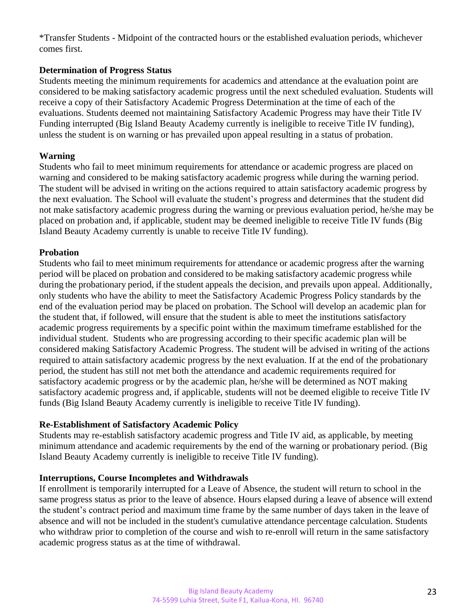\*Transfer Students - Midpoint of the contracted hours or the established evaluation periods, whichever comes first.

#### **Determination of Progress Status**

Students meeting the minimum requirements for academics and attendance at the evaluation point are considered to be making satisfactory academic progress until the next scheduled evaluation. Students will receive a copy of their Satisfactory Academic Progress Determination at the time of each of the evaluations. Students deemed not maintaining Satisfactory Academic Progress may have their Title IV Funding interrupted (Big Island Beauty Academy currently is ineligible to receive Title IV funding), unless the student is on warning or has prevailed upon appeal resulting in a status of probation.

#### **Warning**

Students who fail to meet minimum requirements for attendance or academic progress are placed on warning and considered to be making satisfactory academic progress while during the warning period. The student will be advised in writing on the actions required to attain satisfactory academic progress by the next evaluation. The School will evaluate the student's progress and determines that the student did not make satisfactory academic progress during the warning or previous evaluation period, he/she may be placed on probation and, if applicable, student may be deemed ineligible to receive Title IV funds (Big Island Beauty Academy currently is unable to receive Title IV funding).

#### **Probation**

Students who fail to meet minimum requirements for attendance or academic progress after the warning period will be placed on probation and considered to be making satisfactory academic progress while during the probationary period, if the student appeals the decision, and prevails upon appeal. Additionally, only students who have the ability to meet the Satisfactory Academic Progress Policy standards by the end of the evaluation period may be placed on probation. The School will develop an academic plan for the student that, if followed, will ensure that the student is able to meet the institutions satisfactory academic progress requirements by a specific point within the maximum timeframe established for the individual student. Students who are progressing according to their specific academic plan will be considered making Satisfactory Academic Progress. The student will be advised in writing of the actions required to attain satisfactory academic progress by the next evaluation. If at the end of the probationary period, the student has still not met both the attendance and academic requirements required for satisfactory academic progress or by the academic plan, he/she will be determined as NOT making satisfactory academic progress and, if applicable, students will not be deemed eligible to receive Title IV funds (Big Island Beauty Academy currently is ineligible to receive Title IV funding).

#### **Re-Establishment of Satisfactory Academic Policy**

Students may re-establish satisfactory academic progress and Title IV aid, as applicable, by meeting minimum attendance and academic requirements by the end of the warning or probationary period. (Big Island Beauty Academy currently is ineligible to receive Title IV funding).

#### **Interruptions, Course Incompletes and Withdrawals**

If enrollment is temporarily interrupted for a Leave of Absence, the student will return to school in the same progress status as prior to the leave of absence. Hours elapsed during a leave of absence will extend the student's contract period and maximum time frame by the same number of days taken in the leave of absence and will not be included in the student's cumulative attendance percentage calculation. Students who withdraw prior to completion of the course and wish to re-enroll will return in the same satisfactory academic progress status as at the time of withdrawal.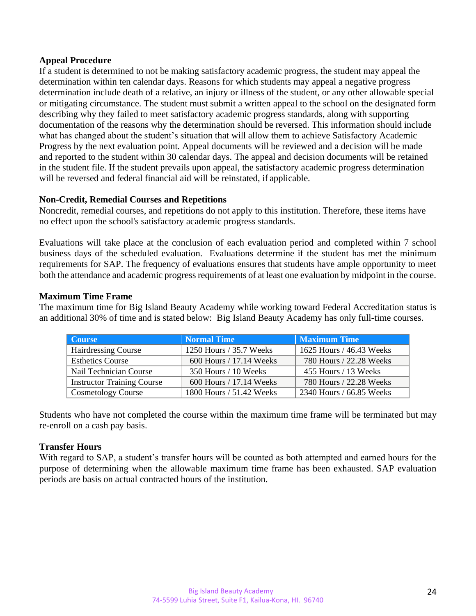#### **Appeal Procedure**

If a student is determined to not be making satisfactory academic progress, the student may appeal the determination within ten calendar days. Reasons for which students may appeal a negative progress determination include death of a relative, an injury or illness of the student, or any other allowable special or mitigating circumstance. The student must submit a written appeal to the school on the designated form describing why they failed to meet satisfactory academic progress standards, along with supporting documentation of the reasons why the determination should be reversed. This information should include what has changed about the student's situation that will allow them to achieve Satisfactory Academic Progress by the next evaluation point. Appeal documents will be reviewed and a decision will be made and reported to the student within 30 calendar days. The appeal and decision documents will be retained in the student file. If the student prevails upon appeal, the satisfactory academic progress determination will be reversed and federal financial aid will be reinstated, if applicable.

#### **Non-Credit, Remedial Courses and Repetitions**

Noncredit, remedial courses, and repetitions do not apply to this institution. Therefore, these items have no effect upon the school's satisfactory academic progress standards.

Evaluations will take place at the conclusion of each evaluation period and completed within 7 school business days of the scheduled evaluation. Evaluations determine if the student has met the minimum requirements for SAP. The frequency of evaluations ensures that students have ample opportunity to meet both the attendance and academic progress requirements of at least one evaluation by midpoint in the course.

#### **Maximum Time Frame**

The maximum time for Big Island Beauty Academy while working toward Federal Accreditation status is an additional 30% of time and is stated below: Big Island Beauty Academy has only full-time courses.

| Course                            | <b>Normal Time</b>       | Maximum Time             |
|-----------------------------------|--------------------------|--------------------------|
| <b>Hairdressing Course</b>        | 1250 Hours / 35.7 Weeks  | 1625 Hours / 46.43 Weeks |
| <b>Esthetics Course</b>           | 600 Hours / 17.14 Weeks  | 780 Hours / 22.28 Weeks  |
| Nail Technician Course            | 350 Hours / 10 Weeks     | 455 Hours / 13 Weeks     |
| <b>Instructor Training Course</b> | 600 Hours / 17.14 Weeks  | 780 Hours / 22.28 Weeks  |
| <b>Cosmetology Course</b>         | 1800 Hours / 51.42 Weeks | 2340 Hours / 66.85 Weeks |

Students who have not completed the course within the maximum time frame will be terminated but may re-enroll on a cash pay basis.

#### **Transfer Hours**

With regard to SAP, a student's transfer hours will be counted as both attempted and earned hours for the purpose of determining when the allowable maximum time frame has been exhausted. SAP evaluation periods are basis on actual contracted hours of the institution.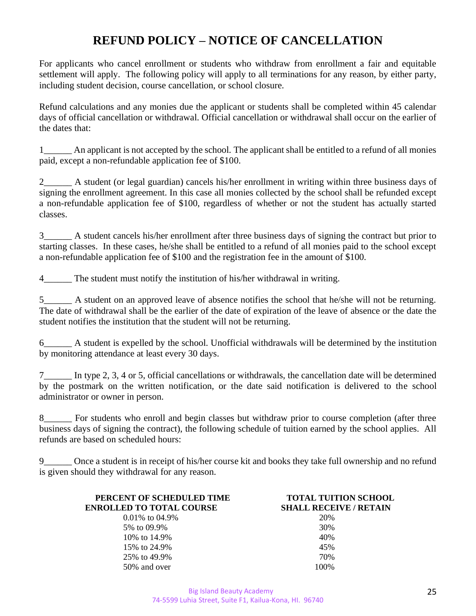## **REFUND POLICY – NOTICE OF CANCELLATION**

For applicants who cancel enrollment or students who withdraw from enrollment a fair and equitable settlement will apply. The following policy will apply to all terminations for any reason, by either party, including student decision, course cancellation, or school closure.

Refund calculations and any monies due the applicant or students shall be completed within 45 calendar days of official cancellation or withdrawal. Official cancellation or withdrawal shall occur on the earlier of the dates that:

1 An applicant is not accepted by the school. The applicant shall be entitled to a refund of all monies paid, except a non-refundable application fee of \$100.

2\_\_\_\_\_\_ A student (or legal guardian) cancels his/her enrollment in writing within three business days of signing the enrollment agreement. In this case all monies collected by the school shall be refunded except a non-refundable application fee of \$100, regardless of whether or not the student has actually started classes.

3\_\_\_\_\_\_ A student cancels his/her enrollment after three business days of signing the contract but prior to starting classes. In these cases, he/she shall be entitled to a refund of all monies paid to the school except a non-refundable application fee of \$100 and the registration fee in the amount of \$100.

4 The student must notify the institution of his/her withdrawal in writing.

5 <sup>5</sup> A student on an approved leave of absence notifies the school that he/she will not be returning. The date of withdrawal shall be the earlier of the date of expiration of the leave of absence or the date the student notifies the institution that the student will not be returning.

6\_\_\_\_\_\_ A student is expelled by the school. Unofficial withdrawals will be determined by the institution by monitoring attendance at least every 30 days.

7\_\_\_\_\_\_ In type 2, 3, 4 or 5, official cancellations or withdrawals, the cancellation date will be determined by the postmark on the written notification, or the date said notification is delivered to the school administrator or owner in person.

8\_\_\_\_\_\_ For students who enroll and begin classes but withdraw prior to course completion (after three business days of signing the contract), the following schedule of tuition earned by the school applies. All refunds are based on scheduled hours:

9\_\_\_\_\_\_ Once a student is in receipt of his/her course kit and books they take full ownership and no refund is given should they withdrawal for any reason.

| PERCENT OF SCHEDULED TIME       | <b>TOTAL TUITION SCHOOL</b>   |
|---------------------------------|-------------------------------|
| <b>ENROLLED TO TOTAL COURSE</b> | <b>SHALL RECEIVE / RETAIN</b> |
| $0.01\%$ to 04.9%               | 20%                           |
| 5\% to 09.9\%                   | 30%                           |
| 10\% to 14.9\%                  | 40%                           |
| 15\% to 24.9\%                  | 45%                           |
| 25% to 49.9%                    | 70%                           |
| 50% and over                    | 100\%                         |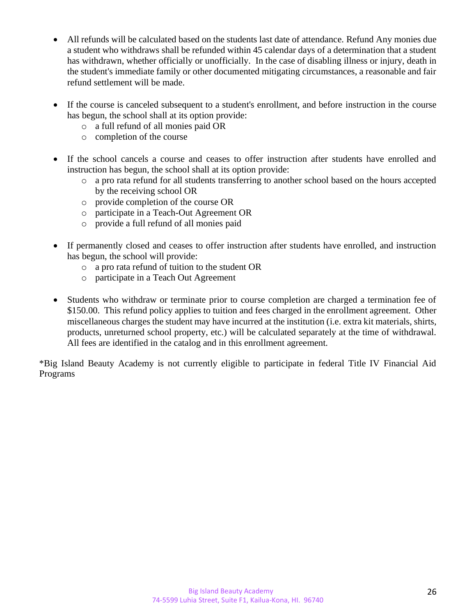- All refunds will be calculated based on the students last date of attendance. Refund Any monies due a student who withdraws shall be refunded within 45 calendar days of a determination that a student has withdrawn, whether officially or unofficially. In the case of disabling illness or injury, death in the student's immediate family or other documented mitigating circumstances, a reasonable and fair refund settlement will be made.
- If the course is canceled subsequent to a student's enrollment, and before instruction in the course has begun, the school shall at its option provide:
	- o a full refund of all monies paid OR
	- o completion of the course
- If the school cancels a course and ceases to offer instruction after students have enrolled and instruction has begun, the school shall at its option provide:
	- o a pro rata refund for all students transferring to another school based on the hours accepted by the receiving school OR
	- o provide completion of the course OR
	- o participate in a Teach-Out Agreement OR
	- o provide a full refund of all monies paid
- If permanently closed and ceases to offer instruction after students have enrolled, and instruction has begun, the school will provide:
	- o a pro rata refund of tuition to the student OR
	- o participate in a Teach Out Agreement
- Students who withdraw or terminate prior to course completion are charged a termination fee of \$150.00. This refund policy applies to tuition and fees charged in the enrollment agreement. Other miscellaneous charges the student may have incurred at the institution (i.e. extra kit materials, shirts, products, unreturned school property, etc.) will be calculated separately at the time of withdrawal. All fees are identified in the catalog and in this enrollment agreement.

\*Big Island Beauty Academy is not currently eligible to participate in federal Title IV Financial Aid Programs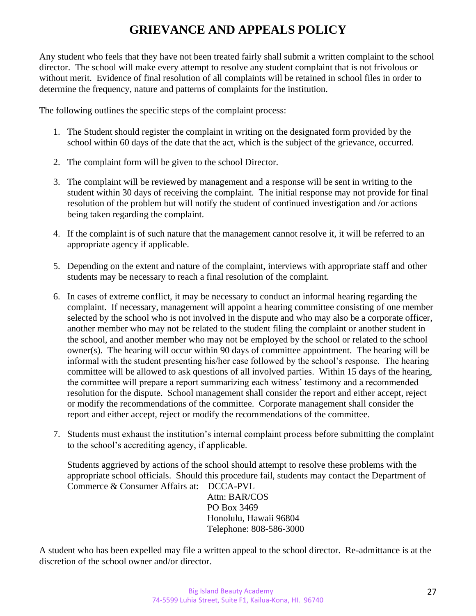## **GRIEVANCE AND APPEALS POLICY**

Any student who feels that they have not been treated fairly shall submit a written complaint to the school director. The school will make every attempt to resolve any student complaint that is not frivolous or without merit. Evidence of final resolution of all complaints will be retained in school files in order to determine the frequency, nature and patterns of complaints for the institution.

The following outlines the specific steps of the complaint process:

- 1. The Student should register the complaint in writing on the designated form provided by the school within 60 days of the date that the act, which is the subject of the grievance, occurred.
- 2. The complaint form will be given to the school Director.
- 3. The complaint will be reviewed by management and a response will be sent in writing to the student within 30 days of receiving the complaint. The initial response may not provide for final resolution of the problem but will notify the student of continued investigation and /or actions being taken regarding the complaint.
- 4. If the complaint is of such nature that the management cannot resolve it, it will be referred to an appropriate agency if applicable.
- 5. Depending on the extent and nature of the complaint, interviews with appropriate staff and other students may be necessary to reach a final resolution of the complaint.
- 6. In cases of extreme conflict, it may be necessary to conduct an informal hearing regarding the complaint. If necessary, management will appoint a hearing committee consisting of one member selected by the school who is not involved in the dispute and who may also be a corporate officer, another member who may not be related to the student filing the complaint or another student in the school, and another member who may not be employed by the school or related to the school owner(s). The hearing will occur within 90 days of committee appointment. The hearing will be informal with the student presenting his/her case followed by the school's response. The hearing committee will be allowed to ask questions of all involved parties. Within 15 days of the hearing, the committee will prepare a report summarizing each witness' testimony and a recommended resolution for the dispute. School management shall consider the report and either accept, reject or modify the recommendations of the committee. Corporate management shall consider the report and either accept, reject or modify the recommendations of the committee.
- 7. Students must exhaust the institution's internal complaint process before submitting the complaint to the school's accrediting agency, if applicable.

Students aggrieved by actions of the school should attempt to resolve these problems with the appropriate school officials. Should this procedure fail, students may contact the Department of Commerce & Consumer Affairs at: DCCA-PVL

Attn: BAR/COS PO Box 3469 Honolulu, Hawaii 96804 Telephone: 808-586-3000

A student who has been expelled may file a written appeal to the school director. Re-admittance is at the discretion of the school owner and/or director.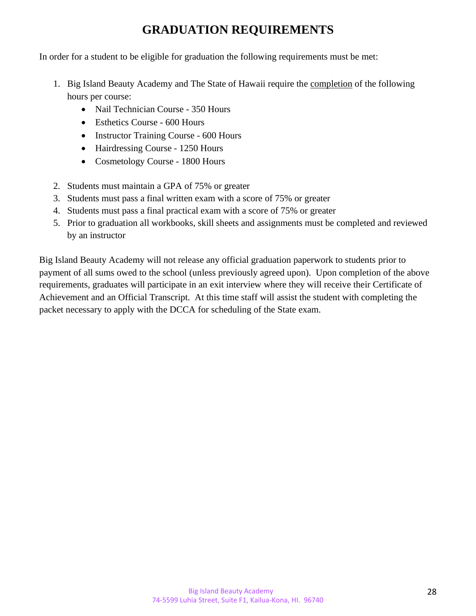## **GRADUATION REQUIREMENTS**

In order for a student to be eligible for graduation the following requirements must be met:

- 1. Big Island Beauty Academy and The State of Hawaii require the completion of the following hours per course:
	- Nail Technician Course 350 Hours
	- Esthetics Course 600 Hours
	- Instructor Training Course 600 Hours
	- Hairdressing Course 1250 Hours
	- Cosmetology Course 1800 Hours
- 2. Students must maintain a GPA of 75% or greater
- 3. Students must pass a final written exam with a score of 75% or greater
- 4. Students must pass a final practical exam with a score of 75% or greater
- 5. Prior to graduation all workbooks, skill sheets and assignments must be completed and reviewed by an instructor

Big Island Beauty Academy will not release any official graduation paperwork to students prior to payment of all sums owed to the school (unless previously agreed upon). Upon completion of the above requirements, graduates will participate in an exit interview where they will receive their Certificate of Achievement and an Official Transcript. At this time staff will assist the student with completing the packet necessary to apply with the DCCA for scheduling of the State exam.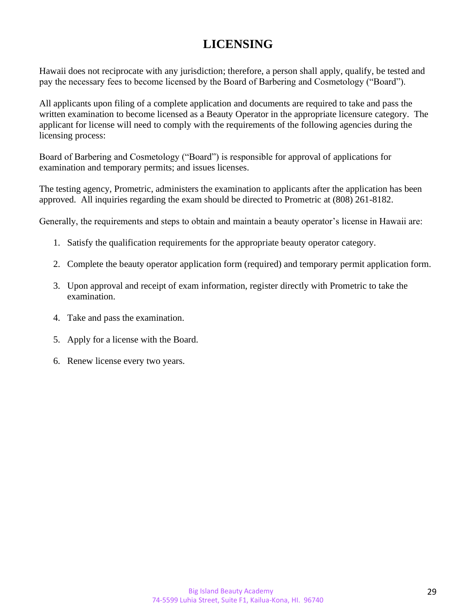## **LICENSING**

Hawaii does not reciprocate with any jurisdiction; therefore, a person shall apply, qualify, be tested and pay the necessary fees to become licensed by the Board of Barbering and Cosmetology ("Board").

All applicants upon filing of a complete application and documents are required to take and pass the written examination to become licensed as a Beauty Operator in the appropriate licensure category. The applicant for license will need to comply with the requirements of the following agencies during the licensing process:

Board of Barbering and Cosmetology ("Board") is responsible for approval of applications for examination and temporary permits; and issues licenses.

The testing agency, Prometric, administers the examination to applicants after the application has been approved. All inquiries regarding the exam should be directed to Prometric at (808) 261-8182.

Generally, the requirements and steps to obtain and maintain a beauty operator's license in Hawaii are:

- 1. Satisfy the qualification requirements for the appropriate beauty operator category.
- 2. Complete the beauty operator application form (required) and temporary permit application form.
- 3. Upon approval and receipt of exam information, register directly with Prometric to take the examination.
- 4. Take and pass the examination.
- 5. Apply for a license with the Board.
- 6. Renew license every two years.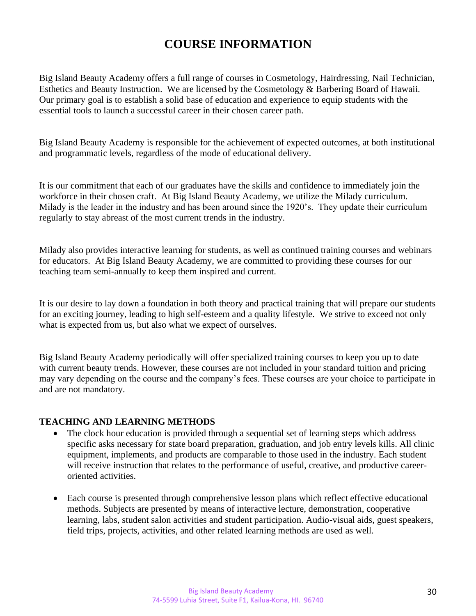## **COURSE INFORMATION**

Big Island Beauty Academy offers a full range of courses in Cosmetology, Hairdressing, Nail Technician, Esthetics and Beauty Instruction. We are licensed by the Cosmetology & Barbering Board of Hawaii. Our primary goal is to establish a solid base of education and experience to equip students with the essential tools to launch a successful career in their chosen career path.

Big Island Beauty Academy is responsible for the achievement of expected outcomes, at both institutional and programmatic levels, regardless of the mode of educational delivery.

It is our commitment that each of our graduates have the skills and confidence to immediately join the workforce in their chosen craft. At Big Island Beauty Academy, we utilize the Milady curriculum. Milady is the leader in the industry and has been around since the 1920's. They update their curriculum regularly to stay abreast of the most current trends in the industry.

Milady also provides interactive learning for students, as well as continued training courses and webinars for educators. At Big Island Beauty Academy, we are committed to providing these courses for our teaching team semi-annually to keep them inspired and current.

It is our desire to lay down a foundation in both theory and practical training that will prepare our students for an exciting journey, leading to high self-esteem and a quality lifestyle. We strive to exceed not only what is expected from us, but also what we expect of ourselves.

Big Island Beauty Academy periodically will offer specialized training courses to keep you up to date with current beauty trends. However, these courses are not included in your standard tuition and pricing may vary depending on the course and the company's fees. These courses are your choice to participate in and are not mandatory.

#### **TEACHING AND LEARNING METHODS**

- The clock hour education is provided through a sequential set of learning steps which address specific asks necessary for state board preparation, graduation, and job entry levels kills. All clinic equipment, implements, and products are comparable to those used in the industry. Each student will receive instruction that relates to the performance of useful, creative, and productive careeroriented activities.
- Each course is presented through comprehensive lesson plans which reflect effective educational methods. Subjects are presented by means of interactive lecture, demonstration, cooperative learning, labs, student salon activities and student participation. Audio-visual aids, guest speakers, field trips, projects, activities, and other related learning methods are used as well.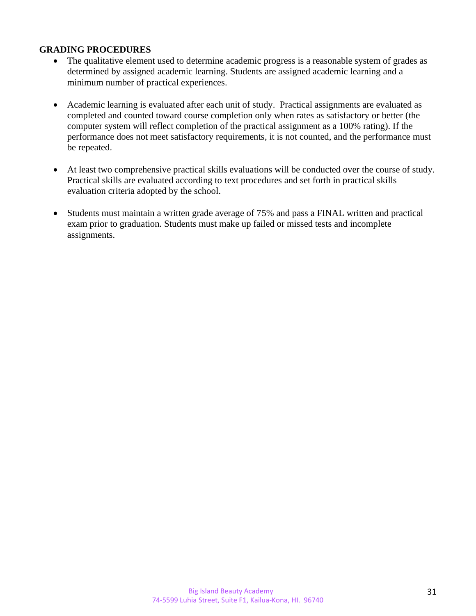#### **GRADING PROCEDURES**

- The qualitative element used to determine academic progress is a reasonable system of grades as determined by assigned academic learning. Students are assigned academic learning and a minimum number of practical experiences.
- Academic learning is evaluated after each unit of study. Practical assignments are evaluated as completed and counted toward course completion only when rates as satisfactory or better (the computer system will reflect completion of the practical assignment as a 100% rating). If the performance does not meet satisfactory requirements, it is not counted, and the performance must be repeated.
- At least two comprehensive practical skills evaluations will be conducted over the course of study. Practical skills are evaluated according to text procedures and set forth in practical skills evaluation criteria adopted by the school.
- Students must maintain a written grade average of 75% and pass a FINAL written and practical exam prior to graduation. Students must make up failed or missed tests and incomplete assignments.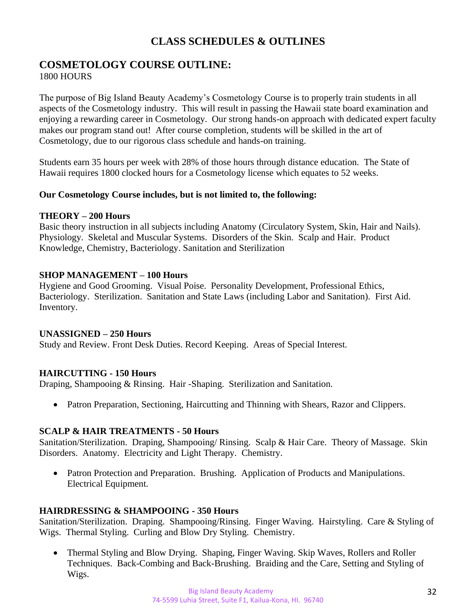## **CLASS SCHEDULES & OUTLINES**

#### **COSMETOLOGY COURSE OUTLINE: 1800 HOURS**

The purpose of Big Island Beauty Academy's Cosmetology Course is to properly train students in all aspects of the Cosmetology industry. This will result in passing the Hawaii state board examination and enjoying a rewarding career in Cosmetology. Our strong hands-on approach with dedicated expert faculty makes our program stand out! After course completion, students will be skilled in the art of Cosmetology, due to our rigorous class schedule and hands-on training.

Students earn 35 hours per week with 28% of those hours through distance education. The State of Hawaii requires 1800 clocked hours for a Cosmetology license which equates to 52 weeks.

#### **Our Cosmetology Course includes, but is not limited to, the following:**

#### **THEORY – 200 Hours**

Basic theory instruction in all subjects including Anatomy (Circulatory System, Skin, Hair and Nails). Physiology. Skeletal and Muscular Systems. Disorders of the Skin. Scalp and Hair. Product Knowledge, Chemistry, Bacteriology. Sanitation and Sterilization

#### **SHOP MANAGEMENT – 100 Hours**

Hygiene and Good Grooming. Visual Poise. Personality Development, Professional Ethics, Bacteriology. Sterilization. Sanitation and State Laws (including Labor and Sanitation). First Aid. Inventory.

#### **UNASSIGNED – 250 Hours**

Study and Review. Front Desk Duties. Record Keeping. Areas of Special Interest.

#### **HAIRCUTTING - 150 Hours**

Draping, Shampooing & Rinsing. Hair -Shaping. Sterilization and Sanitation.

• Patron Preparation, Sectioning, Haircutting and Thinning with Shears, Razor and Clippers.

#### **SCALP & HAIR TREATMENTS - 50 Hours**

Sanitation/Sterilization. Draping, Shampooing/ Rinsing. Scalp & Hair Care. Theory of Massage. Skin Disorders. Anatomy. Electricity and Light Therapy. Chemistry.

• Patron Protection and Preparation. Brushing. Application of Products and Manipulations. Electrical Equipment.

#### **HAIRDRESSING & SHAMPOOING - 350 Hours**

Sanitation/Sterilization. Draping. Shampooing/Rinsing. Finger Waving. Hairstyling. Care & Styling of Wigs. Thermal Styling. Curling and Blow Dry Styling. Chemistry.

• Thermal Styling and Blow Drying. Shaping, Finger Waving. Skip Waves, Rollers and Roller Techniques. Back-Combing and Back-Brushing. Braiding and the Care, Setting and Styling of Wigs.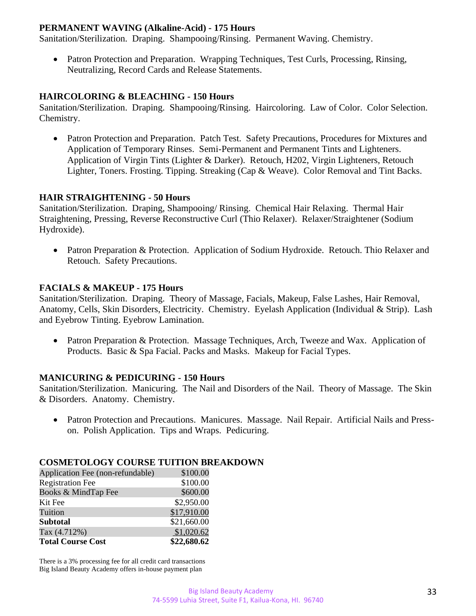#### **PERMANENT WAVING (Alkaline-Acid) - 175 Hours**

Sanitation/Sterilization. Draping. Shampooing/Rinsing. Permanent Waving. Chemistry.

• Patron Protection and Preparation. Wrapping Techniques, Test Curls, Processing, Rinsing, Neutralizing, Record Cards and Release Statements.

#### **HAIRCOLORING & BLEACHING - 150 Hours**

Sanitation/Sterilization. Draping. Shampooing/Rinsing. Haircoloring. Law of Color. Color Selection. Chemistry.

• Patron Protection and Preparation. Patch Test. Safety Precautions, Procedures for Mixtures and Application of Temporary Rinses. Semi-Permanent and Permanent Tints and Lighteners. Application of Virgin Tints (Lighter & Darker). Retouch, H202, Virgin Lighteners, Retouch Lighter, Toners. Frosting. Tipping. Streaking (Cap & Weave). Color Removal and Tint Backs.

#### **HAIR STRAIGHTENING - 50 Hours**

Sanitation/Sterilization. Draping, Shampooing/ Rinsing. Chemical Hair Relaxing. Thermal Hair Straightening, Pressing, Reverse Reconstructive Curl (Thio Relaxer). Relaxer/Straightener (Sodium Hydroxide).

• Patron Preparation & Protection. Application of Sodium Hydroxide. Retouch. Thio Relaxer and Retouch. Safety Precautions.

#### **FACIALS & MAKEUP - 175 Hours**

Sanitation/Sterilization. Draping. Theory of Massage, Facials, Makeup, False Lashes, Hair Removal, Anatomy, Cells, Skin Disorders, Electricity. Chemistry. Eyelash Application (Individual & Strip). Lash and Eyebrow Tinting. Eyebrow Lamination.

• Patron Preparation & Protection. Massage Techniques, Arch, Tweeze and Wax. Application of Products. Basic & Spa Facial. Packs and Masks. Makeup for Facial Types.

#### **MANICURING & PEDICURING - 150 Hours**

Sanitation/Sterilization. Manicuring. The Nail and Disorders of the Nail. Theory of Massage. The Skin & Disorders. Anatomy. Chemistry.

• Patron Protection and Precautions. Manicures. Massage. Nail Repair. Artificial Nails and Presson. Polish Application. Tips and Wraps. Pedicuring.

#### **COSMETOLOGY COURSE TUITION BREAKDOWN**

| Application Fee (non-refundable) | \$100.00    |
|----------------------------------|-------------|
| <b>Registration Fee</b>          | \$100.00    |
| Books & MindTap Fee              | \$600.00    |
| Kit Fee                          | \$2,950.00  |
| Tuition                          | \$17,910.00 |
| <b>Subtotal</b>                  | \$21,660.00 |
| Tax (4.712%)                     | \$1,020.62  |
| <b>Total Course Cost</b>         | \$22,680.62 |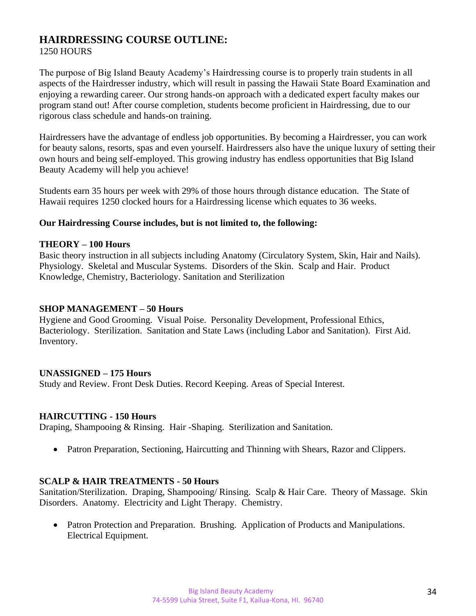## **HAIRDRESSING COURSE OUTLINE:**

#### 1250 HOURS

The purpose of Big Island Beauty Academy's Hairdressing course is to properly train students in all aspects of the Hairdresser industry, which will result in passing the Hawaii State Board Examination and enjoying a rewarding career. Our strong hands-on approach with a dedicated expert faculty makes our program stand out! After course completion, students become proficient in Hairdressing, due to our rigorous class schedule and hands-on training.

Hairdressers have the advantage of endless job opportunities. By becoming a Hairdresser, you can work for beauty salons, resorts, spas and even yourself. Hairdressers also have the unique luxury of setting their own hours and being self-employed. This growing industry has endless opportunities that Big Island Beauty Academy will help you achieve!

Students earn 35 hours per week with 29% of those hours through distance education. The State of Hawaii requires 1250 clocked hours for a Hairdressing license which equates to 36 weeks.

#### **Our Hairdressing Course includes, but is not limited to, the following:**

#### **THEORY – 100 Hours**

Basic theory instruction in all subjects including Anatomy (Circulatory System, Skin, Hair and Nails). Physiology. Skeletal and Muscular Systems. Disorders of the Skin. Scalp and Hair. Product Knowledge, Chemistry, Bacteriology. Sanitation and Sterilization

#### **SHOP MANAGEMENT – 50 Hours**

Hygiene and Good Grooming. Visual Poise. Personality Development, Professional Ethics, Bacteriology. Sterilization. Sanitation and State Laws (including Labor and Sanitation). First Aid. Inventory.

#### **UNASSIGNED – 175 Hours**

Study and Review. Front Desk Duties. Record Keeping. Areas of Special Interest.

#### **HAIRCUTTING - 150 Hours**

Draping, Shampooing & Rinsing. Hair -Shaping. Sterilization and Sanitation.

• Patron Preparation, Sectioning, Haircutting and Thinning with Shears, Razor and Clippers.

#### **SCALP & HAIR TREATMENTS - 50 Hours**

Sanitation/Sterilization. Draping, Shampooing/ Rinsing. Scalp & Hair Care. Theory of Massage. Skin Disorders. Anatomy. Electricity and Light Therapy. Chemistry.

• Patron Protection and Preparation. Brushing. Application of Products and Manipulations. Electrical Equipment.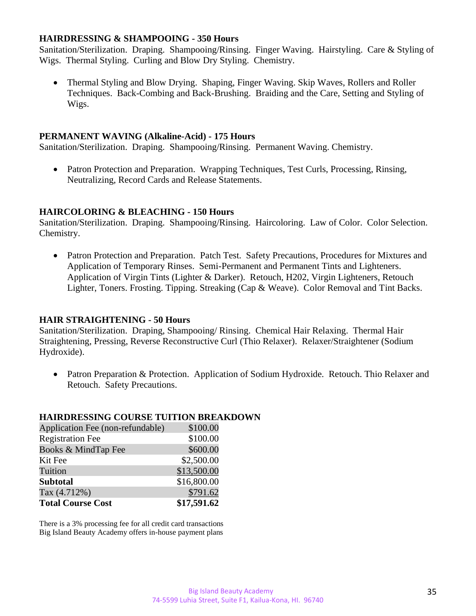#### **HAIRDRESSING & SHAMPOOING - 350 Hours**

Sanitation/Sterilization. Draping. Shampooing/Rinsing. Finger Waving. Hairstyling. Care & Styling of Wigs. Thermal Styling. Curling and Blow Dry Styling. Chemistry.

• Thermal Styling and Blow Drying. Shaping, Finger Waving. Skip Waves, Rollers and Roller Techniques. Back-Combing and Back-Brushing. Braiding and the Care, Setting and Styling of Wigs.

#### **PERMANENT WAVING (Alkaline-Acid) - 175 Hours**

Sanitation/Sterilization. Draping. Shampooing/Rinsing. Permanent Waving. Chemistry.

• Patron Protection and Preparation. Wrapping Techniques, Test Curls, Processing, Rinsing, Neutralizing, Record Cards and Release Statements.

#### **HAIRCOLORING & BLEACHING - 150 Hours**

Sanitation/Sterilization. Draping. Shampooing/Rinsing. Haircoloring. Law of Color. Color Selection. Chemistry.

• Patron Protection and Preparation. Patch Test. Safety Precautions, Procedures for Mixtures and Application of Temporary Rinses. Semi-Permanent and Permanent Tints and Lighteners. Application of Virgin Tints (Lighter & Darker). Retouch, H202, Virgin Lighteners, Retouch Lighter, Toners. Frosting. Tipping. Streaking (Cap & Weave). Color Removal and Tint Backs.

#### **HAIR STRAIGHTENING - 50 Hours**

Sanitation/Sterilization. Draping, Shampooing/ Rinsing. Chemical Hair Relaxing. Thermal Hair Straightening, Pressing, Reverse Reconstructive Curl (Thio Relaxer). Relaxer/Straightener (Sodium Hydroxide).

• Patron Preparation & Protection. Application of Sodium Hydroxide. Retouch. Thio Relaxer and Retouch. Safety Precautions.

#### **HAIRDRESSING COURSE TUITION BREAKDOWN**

| Application Fee (non-refundable) | \$100.00    |
|----------------------------------|-------------|
| <b>Registration Fee</b>          | \$100.00    |
| Books & MindTap Fee              | \$600.00    |
| Kit Fee                          | \$2,500.00  |
| Tuition                          | \$13,500.00 |
| <b>Subtotal</b>                  | \$16,800.00 |
| Tax (4.712%)                     | \$791.62    |
| <b>Total Course Cost</b>         | \$17,591.62 |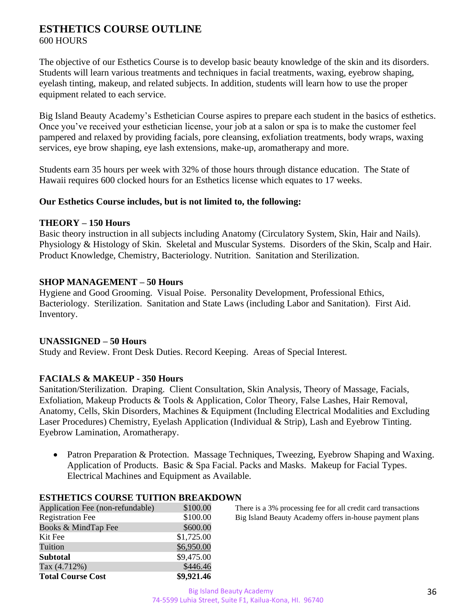#### **ESTHETICS COURSE OUTLINE** 600 HOURS

The objective of our Esthetics Course is to develop basic beauty knowledge of the skin and its disorders. Students will learn various treatments and techniques in facial treatments, waxing, eyebrow shaping, eyelash tinting, makeup, and related subjects. In addition, students will learn how to use the proper equipment related to each service.

Big Island Beauty Academy's Esthetician Course aspires to prepare each student in the basics of esthetics. Once you've received your esthetician license, your job at a salon or spa is to make the customer feel pampered and relaxed by providing facials, pore cleansing, exfoliation treatments, body wraps, waxing services, eye brow shaping, eye lash extensions, make-up, aromatherapy and more.

Students earn 35 hours per week with 32% of those hours through distance education. The State of Hawaii requires 600 clocked hours for an Esthetics license which equates to 17 weeks.

#### **Our Esthetics Course includes, but is not limited to, the following:**

#### **THEORY – 150 Hours**

Basic theory instruction in all subjects including Anatomy (Circulatory System, Skin, Hair and Nails). Physiology & Histology of Skin. Skeletal and Muscular Systems. Disorders of the Skin, Scalp and Hair. Product Knowledge, Chemistry, Bacteriology. Nutrition. Sanitation and Sterilization.

#### **SHOP MANAGEMENT – 50 Hours**

Hygiene and Good Grooming. Visual Poise. Personality Development, Professional Ethics, Bacteriology. Sterilization. Sanitation and State Laws (including Labor and Sanitation). First Aid. Inventory.

#### **UNASSIGNED – 50 Hours**

Study and Review. Front Desk Duties. Record Keeping. Areas of Special Interest.

#### **FACIALS & MAKEUP - 350 Hours**

Sanitation/Sterilization. Draping. Client Consultation, Skin Analysis, Theory of Massage, Facials, Exfoliation, Makeup Products & Tools & Application, Color Theory, False Lashes, Hair Removal, Anatomy, Cells, Skin Disorders, Machines & Equipment (Including Electrical Modalities and Excluding Laser Procedures) Chemistry, Eyelash Application (Individual & Strip), Lash and Eyebrow Tinting. Eyebrow Lamination, Aromatherapy.

• Patron Preparation & Protection. Massage Techniques, Tweezing, Eyebrow Shaping and Waxing. Application of Products. Basic & Spa Facial. Packs and Masks. Makeup for Facial Types. Electrical Machines and Equipment as Available.

| Application Fee (non-refundable) | \$100.00   |
|----------------------------------|------------|
| <b>Registration Fee</b>          | \$100.00   |
| Books & MindTap Fee              | \$600.00   |
| Kit Fee                          | \$1,725.00 |
| Tuition                          | \$6,950.00 |
| <b>Subtotal</b>                  | \$9,475.00 |
| Tax $(4.712%)$                   | \$446.46   |
| <b>Total Course Cost</b>         | \$9,921.46 |

**ESTHETICS COURSE TUITION BREAKDOWN**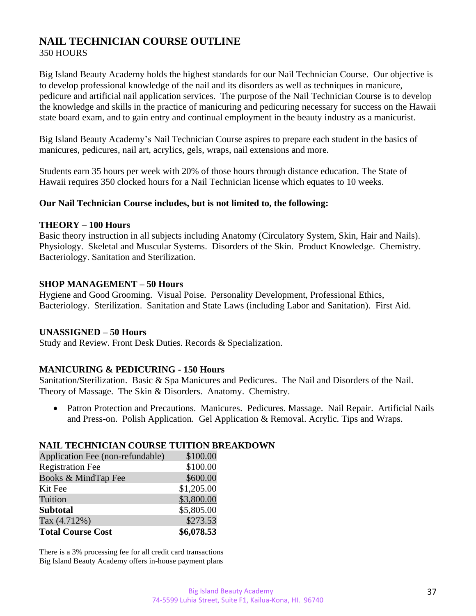### **NAIL TECHNICIAN COURSE OUTLINE** 350 HOURS

Big Island Beauty Academy holds the highest standards for our Nail Technician Course. Our objective is to develop professional knowledge of the nail and its disorders as well as techniques in manicure, pedicure and artificial nail application services. The purpose of the Nail Technician Course is to develop the knowledge and skills in the practice of manicuring and pedicuring necessary for success on the Hawaii state board exam, and to gain entry and continual employment in the beauty industry as a manicurist.

Big Island Beauty Academy's Nail Technician Course aspires to prepare each student in the basics of manicures, pedicures, nail art, acrylics, gels, wraps, nail extensions and more.

Students earn 35 hours per week with 20% of those hours through distance education. The State of Hawaii requires 350 clocked hours for a Nail Technician license which equates to 10 weeks.

#### **Our Nail Technician Course includes, but is not limited to, the following:**

#### **THEORY – 100 Hours**

Basic theory instruction in all subjects including Anatomy (Circulatory System, Skin, Hair and Nails). Physiology. Skeletal and Muscular Systems. Disorders of the Skin. Product Knowledge. Chemistry. Bacteriology. Sanitation and Sterilization.

#### **SHOP MANAGEMENT – 50 Hours**

Hygiene and Good Grooming. Visual Poise. Personality Development, Professional Ethics, Bacteriology. Sterilization. Sanitation and State Laws (including Labor and Sanitation). First Aid.

#### **UNASSIGNED – 50 Hours**

Study and Review. Front Desk Duties. Records & Specialization.

#### **MANICURING & PEDICURING - 150 Hours**

Sanitation/Sterilization. Basic & Spa Manicures and Pedicures. The Nail and Disorders of the Nail. Theory of Massage. The Skin & Disorders. Anatomy. Chemistry.

• Patron Protection and Precautions. Manicures. Pedicures. Massage. Nail Repair. Artificial Nails and Press-on. Polish Application. Gel Application & Removal. Acrylic. Tips and Wraps.

#### **NAIL TECHNICIAN COURSE TUITION BREAKDOWN**

| Application Fee (non-refundable) | \$100.00   |
|----------------------------------|------------|
| <b>Registration Fee</b>          | \$100.00   |
| Books & MindTap Fee              | \$600.00   |
| Kit Fee                          | \$1,205.00 |
| Tuition                          | \$3,800.00 |
| <b>Subtotal</b>                  | \$5,805.00 |
| Tax (4.712%)                     | \$273.53   |
| <b>Total Course Cost</b>         | \$6,078.53 |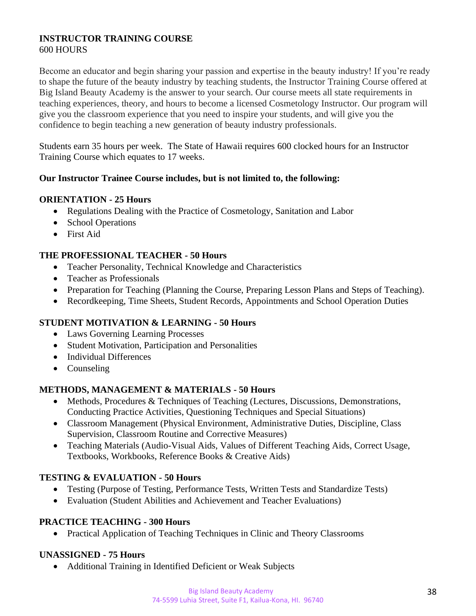#### **INSTRUCTOR TRAINING COURSE** 600 HOURS

Become an educator and begin sharing your passion and expertise in the beauty industry! If you're ready to shape the future of the beauty industry by teaching students, the Instructor Training Course offered at Big Island Beauty Academy is the answer to your search. Our course meets all state requirements in teaching experiences, theory, and hours to become a licensed Cosmetology Instructor. Our program will give you the classroom experience that you need to inspire your students, and will give you the confidence to begin teaching a new generation of beauty industry professionals.

Students earn 35 hours per week. The State of Hawaii requires 600 clocked hours for an Instructor Training Course which equates to 17 weeks.

#### **Our Instructor Trainee Course includes, but is not limited to, the following:**

#### **ORIENTATION - 25 Hours**

- Regulations Dealing with the Practice of Cosmetology, Sanitation and Labor
- School Operations
- First Aid

#### **THE PROFESSIONAL TEACHER - 50 Hours**

- Teacher Personality, Technical Knowledge and Characteristics
- Teacher as Professionals
- Preparation for Teaching (Planning the Course, Preparing Lesson Plans and Steps of Teaching).
- Recordkeeping, Time Sheets, Student Records, Appointments and School Operation Duties

#### **STUDENT MOTIVATION & LEARNING - 50 Hours**

- Laws Governing Learning Processes
- Student Motivation, Participation and Personalities
- Individual Differences
- Counseling

#### **METHODS, MANAGEMENT & MATERIALS - 50 Hours**

- Methods, Procedures & Techniques of Teaching (Lectures, Discussions, Demonstrations, Conducting Practice Activities, Questioning Techniques and Special Situations)
- Classroom Management (Physical Environment, Administrative Duties, Discipline, Class Supervision, Classroom Routine and Corrective Measures)
- Teaching Materials (Audio-Visual Aids, Values of Different Teaching Aids, Correct Usage, Textbooks, Workbooks, Reference Books & Creative Aids)

#### **TESTING & EVALUATION - 50 Hours**

- Testing (Purpose of Testing, Performance Tests, Written Tests and Standardize Tests)
- Evaluation (Student Abilities and Achievement and Teacher Evaluations)

#### **PRACTICE TEACHING - 300 Hours**

• Practical Application of Teaching Techniques in Clinic and Theory Classrooms

#### **UNASSIGNED - 75 Hours**

• Additional Training in Identified Deficient or Weak Subjects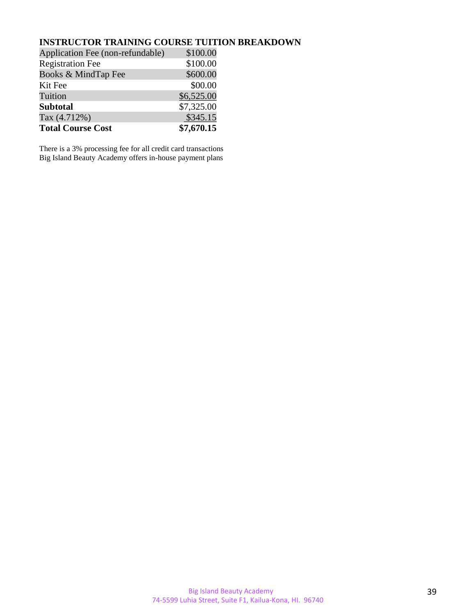#### **INSTRUCTOR TRAINING COURSE TUITION BREAKDOWN**

| Application Fee (non-refundable) | \$100.00   |
|----------------------------------|------------|
| <b>Registration Fee</b>          | \$100.00   |
| Books & MindTap Fee              | \$600.00   |
| Kit Fee                          | \$00.00    |
| Tuition                          | \$6,525.00 |
| <b>Subtotal</b>                  | \$7,325.00 |
| Tax (4.712%)                     | \$345.15   |
| <b>Total Course Cost</b>         | \$7,670.15 |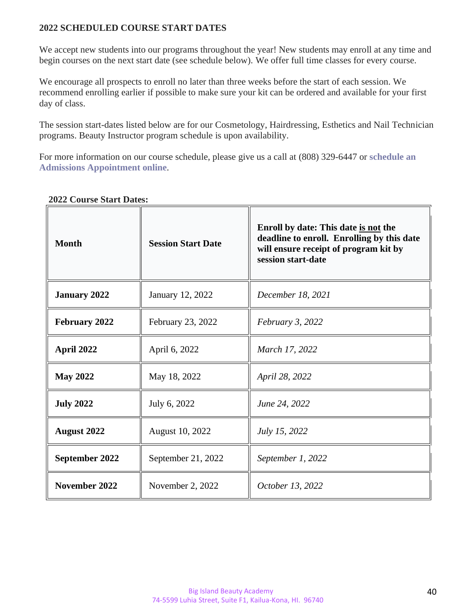#### **2022 SCHEDULED COURSE START DATES**

We accept new students into our programs throughout the year! New students may enroll at any time and begin courses on the next start date (see schedule below). We offer full time classes for every course.

We encourage all prospects to enroll no later than three weeks before the start of each session. We recommend enrolling earlier if possible to make sure your kit can be ordered and available for your first day of class.

The session start-dates listed below are for our Cosmetology, Hairdressing, Esthetics and Nail Technician programs. Beauty Instructor program schedule is upon availability.

For more information on our course schedule, please give us a call at (808) 329-6447 or **[schedule](https://www.schedulicity.com/scheduling/BIBRSK/services) an Admissions [Appointment](https://www.schedulicity.com/scheduling/BIBRSK/services) online**.

| <b>Month</b>         | <b>Session Start Date</b> | Enroll by date: This date is not the<br>deadline to enroll. Enrolling by this date<br>will ensure receipt of program kit by<br>session start-date |  |  |
|----------------------|---------------------------|---------------------------------------------------------------------------------------------------------------------------------------------------|--|--|
| <b>January 2022</b>  | January 12, 2022          | December 18, 2021                                                                                                                                 |  |  |
| <b>February 2022</b> | February 23, 2022         | <i>February 3, 2022</i>                                                                                                                           |  |  |
| April 2022           | April 6, 2022             | March 17, 2022                                                                                                                                    |  |  |
| <b>May 2022</b>      | May 18, 2022              | April 28, 2022                                                                                                                                    |  |  |
| <b>July 2022</b>     | July 6, 2022              | June 24, 2022                                                                                                                                     |  |  |
| <b>August 2022</b>   | August 10, 2022           | July 15, 2022                                                                                                                                     |  |  |
| September 2022       | September 21, 2022        | September 1, 2022                                                                                                                                 |  |  |
| November 2022        | November 2, 2022          | October 13, 2022                                                                                                                                  |  |  |

#### **2022 Course Start Dates:**